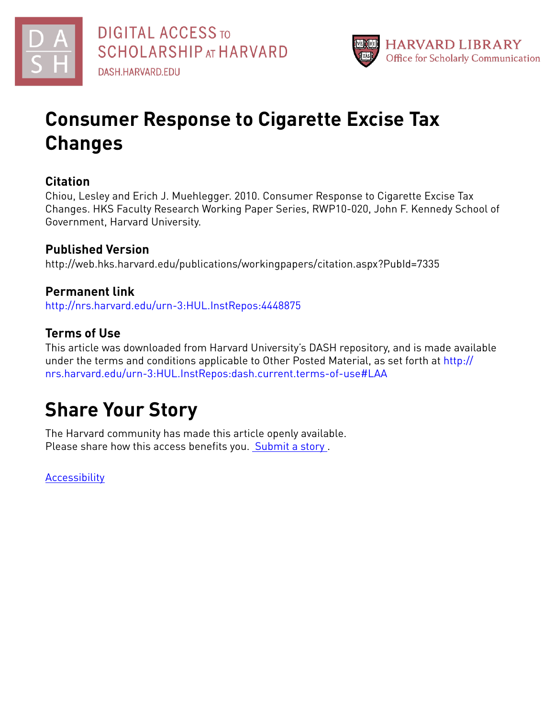



# **Consumer Response to Cigarette Excise Tax Changes**

## **Citation**

Chiou, Lesley and Erich J. Muehlegger. 2010. Consumer Response to Cigarette Excise Tax Changes. HKS Faculty Research Working Paper Series, RWP10-020, John F. Kennedy School of Government, Harvard University.

# **Published Version**

http://web.hks.harvard.edu/publications/workingpapers/citation.aspx?PubId=7335

## **Permanent link**

<http://nrs.harvard.edu/urn-3:HUL.InstRepos:4448875>

# **Terms of Use**

This article was downloaded from Harvard University's DASH repository, and is made available under the terms and conditions applicable to Other Posted Material, as set forth at [http://](http://nrs.harvard.edu/urn-3:HUL.InstRepos:dash.current.terms-of-use#LAA) [nrs.harvard.edu/urn-3:HUL.InstRepos:dash.current.terms-of-use#LAA](http://nrs.harvard.edu/urn-3:HUL.InstRepos:dash.current.terms-of-use#LAA)

# **Share Your Story**

The Harvard community has made this article openly available. Please share how this access benefits you. [Submit](http://osc.hul.harvard.edu/dash/open-access-feedback?handle=&title=Consumer%20Response%20to%20Cigarette%20Excise%20Tax%20Changes&community=1/3345933&collection=1/3345934&owningCollection1/3345934&harvardAuthors=7c787dd8f76ad1eb0aa1a3a2a831e766&department) a story .

**[Accessibility](https://dash.harvard.edu/pages/accessibility)**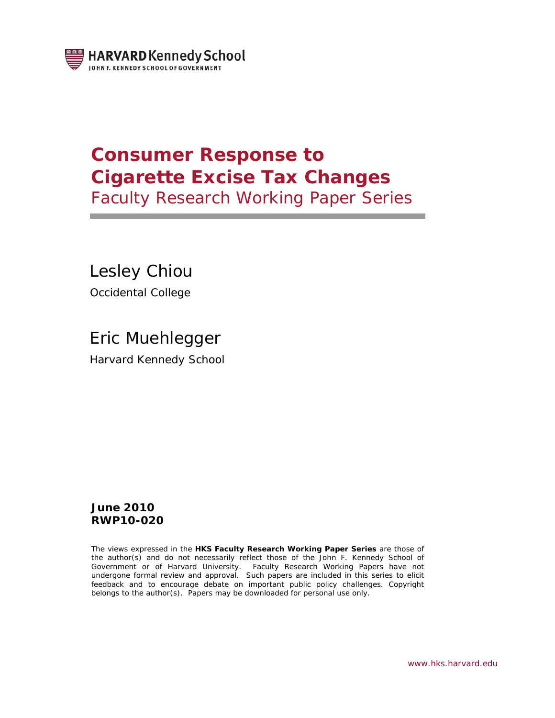

# **Consumer Response to Cigarette Excise Tax Changes**

Faculty Research Working Paper Series

Lesley Chiou Occidental College

Eric Muehlegger Harvard Kennedy School

### **June 2010 RWP10-020**

The views expressed in the **HKS Faculty Research Working Paper Series** are those of the author(s) and do not necessarily reflect those of the John F. Kennedy School of Government or of Harvard University. Faculty Research Working Papers have not undergone formal review and approval. Such papers are included in this series to elicit feedback and to encourage debate on important public policy challenges. Copyright belongs to the author(s). Papers may be downloaded for personal use only.

*www.hks.harvard.edu*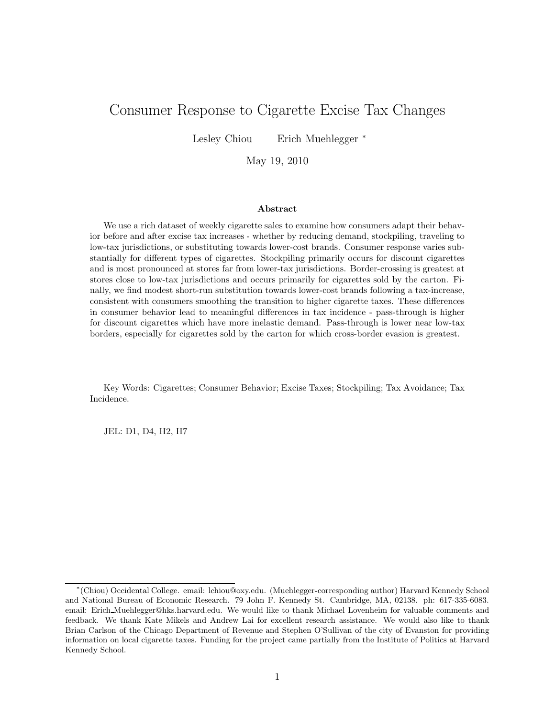## Consumer Response to Cigarette Excise Tax Changes

Lesley Chiou Erich Muehlegger <sup>∗</sup>

May 19, 2010

#### Abstract

We use a rich dataset of weekly cigarette sales to examine how consumers adapt their behavior before and after excise tax increases - whether by reducing demand, stockpiling, traveling to low-tax jurisdictions, or substituting towards lower-cost brands. Consumer response varies substantially for different types of cigarettes. Stockpiling primarily occurs for discount cigarettes and is most pronounced at stores far from lower-tax jurisdictions. Border-crossing is greatest at stores close to low-tax jurisdictions and occurs primarily for cigarettes sold by the carton. Finally, we find modest short-run substitution towards lower-cost brands following a tax-increase, consistent with consumers smoothing the transition to higher cigarette taxes. These differences in consumer behavior lead to meaningful differences in tax incidence - pass-through is higher for discount cigarettes which have more inelastic demand. Pass-through is lower near low-tax borders, especially for cigarettes sold by the carton for which cross-border evasion is greatest.

Key Words: Cigarettes; Consumer Behavior; Excise Taxes; Stockpiling; Tax Avoidance; Tax Incidence.

JEL: D1, D4, H2, H7

<sup>∗</sup> (Chiou) Occidental College. email: lchiou@oxy.edu. (Muehlegger-corresponding author) Harvard Kennedy School and National Bureau of Economic Research. 79 John F. Kennedy St. Cambridge, MA, 02138. ph: 617-335-6083. email: Erich Muehlegger@hks.harvard.edu. We would like to thank Michael Lovenheim for valuable comments and feedback. We thank Kate Mikels and Andrew Lai for excellent research assistance. We would also like to thank Brian Carlson of the Chicago Department of Revenue and Stephen O'Sullivan of the city of Evanston for providing information on local cigarette taxes. Funding for the project came partially from the Institute of Politics at Harvard Kennedy School.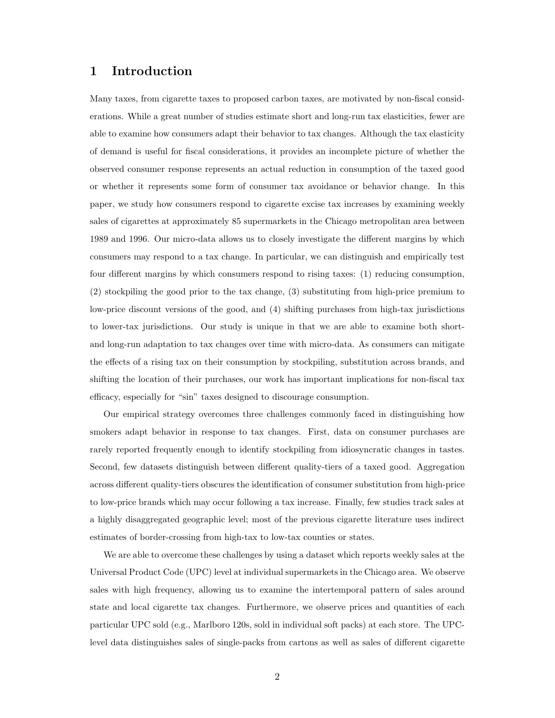#### 1 Introduction

Many taxes, from cigarette taxes to proposed carbon taxes, are motivated by non-fiscal considerations. While a great number of studies estimate short and long-run tax elasticities, fewer are able to examine how consumers adapt their behavior to tax changes. Although the tax elasticity of demand is useful for fiscal considerations, it provides an incomplete picture of whether the observed consumer response represents an actual reduction in consumption of the taxed good or whether it represents some form of consumer tax avoidance or behavior change. In this paper, we study how consumers respond to cigarette excise tax increases by examining weekly sales of cigarettes at approximately 85 supermarkets in the Chicago metropolitan area between 1989 and 1996. Our micro-data allows us to closely investigate the different margins by which consumers may respond to a tax change. In particular, we can distinguish and empirically test four different margins by which consumers respond to rising taxes: (1) reducing consumption, (2) stockpiling the good prior to the tax change, (3) substituting from high-price premium to low-price discount versions of the good, and (4) shifting purchases from high-tax jurisdictions to lower-tax jurisdictions. Our study is unique in that we are able to examine both shortand long-run adaptation to tax changes over time with micro-data. As consumers can mitigate the effects of a rising tax on their consumption by stockpiling, substitution across brands, and shifting the location of their purchases, our work has important implications for non-fiscal tax efficacy, especially for "sin" taxes designed to discourage consumption.

Our empirical strategy overcomes three challenges commonly faced in distinguishing how smokers adapt behavior in response to tax changes. First, data on consumer purchases are rarely reported frequently enough to identify stockpiling from idiosyncratic changes in tastes. Second, few datasets distinguish between different quality-tiers of a taxed good. Aggregation across different quality-tiers obscures the identification of consumer substitution from high-price to low-price brands which may occur following a tax increase. Finally, few studies track sales at a highly disaggregated geographic level; most of the previous cigarette literature uses indirect estimates of border-crossing from high-tax to low-tax counties or states.

We are able to overcome these challenges by using a dataset which reports weekly sales at the Universal Product Code (UPC) level at individual supermarkets in the Chicago area. We observe sales with high frequency, allowing us to examine the intertemporal pattern of sales around state and local cigarette tax changes. Furthermore, we observe prices and quantities of each particular UPC sold (e.g., Marlboro 120s, sold in individual soft packs) at each store. The UPClevel data distinguishes sales of single-packs from cartons as well as sales of different cigarette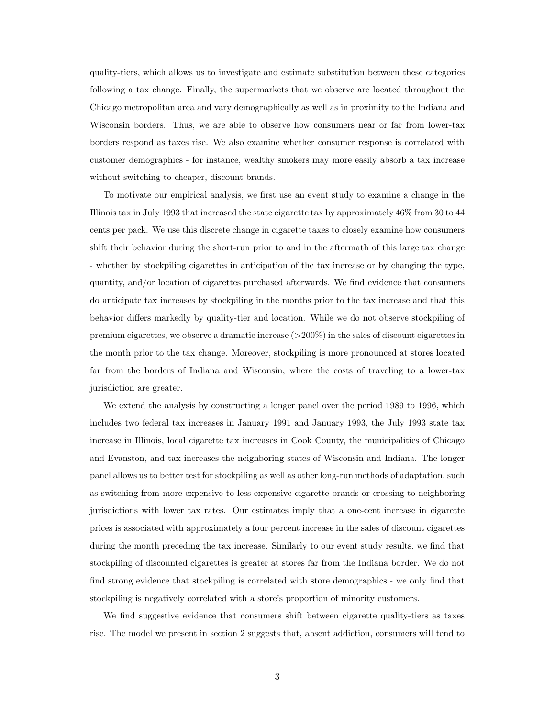quality-tiers, which allows us to investigate and estimate substitution between these categories following a tax change. Finally, the supermarkets that we observe are located throughout the Chicago metropolitan area and vary demographically as well as in proximity to the Indiana and Wisconsin borders. Thus, we are able to observe how consumers near or far from lower-tax borders respond as taxes rise. We also examine whether consumer response is correlated with customer demographics - for instance, wealthy smokers may more easily absorb a tax increase without switching to cheaper, discount brands.

To motivate our empirical analysis, we first use an event study to examine a change in the Illinois tax in July 1993 that increased the state cigarette tax by approximately 46% from 30 to 44 cents per pack. We use this discrete change in cigarette taxes to closely examine how consumers shift their behavior during the short-run prior to and in the aftermath of this large tax change - whether by stockpiling cigarettes in anticipation of the tax increase or by changing the type, quantity, and/or location of cigarettes purchased afterwards. We find evidence that consumers do anticipate tax increases by stockpiling in the months prior to the tax increase and that this behavior differs markedly by quality-tier and location. While we do not observe stockpiling of premium cigarettes, we observe a dramatic increase  $(>200\%)$  in the sales of discount cigarettes in the month prior to the tax change. Moreover, stockpiling is more pronounced at stores located far from the borders of Indiana and Wisconsin, where the costs of traveling to a lower-tax jurisdiction are greater.

We extend the analysis by constructing a longer panel over the period 1989 to 1996, which includes two federal tax increases in January 1991 and January 1993, the July 1993 state tax increase in Illinois, local cigarette tax increases in Cook County, the municipalities of Chicago and Evanston, and tax increases the neighboring states of Wisconsin and Indiana. The longer panel allows us to better test for stockpiling as well as other long-run methods of adaptation, such as switching from more expensive to less expensive cigarette brands or crossing to neighboring jurisdictions with lower tax rates. Our estimates imply that a one-cent increase in cigarette prices is associated with approximately a four percent increase in the sales of discount cigarettes during the month preceding the tax increase. Similarly to our event study results, we find that stockpiling of discounted cigarettes is greater at stores far from the Indiana border. We do not find strong evidence that stockpiling is correlated with store demographics - we only find that stockpiling is negatively correlated with a store's proportion of minority customers.

We find suggestive evidence that consumers shift between cigarette quality-tiers as taxes rise. The model we present in section 2 suggests that, absent addiction, consumers will tend to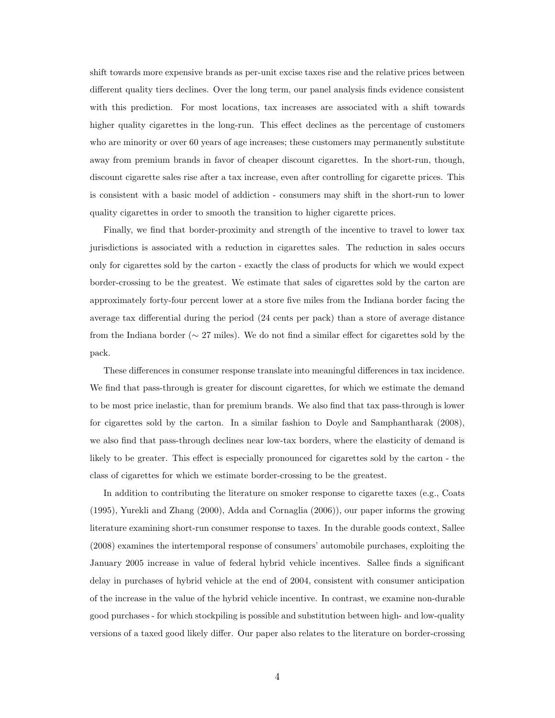shift towards more expensive brands as per-unit excise taxes rise and the relative prices between different quality tiers declines. Over the long term, our panel analysis finds evidence consistent with this prediction. For most locations, tax increases are associated with a shift towards higher quality cigarettes in the long-run. This effect declines as the percentage of customers who are minority or over 60 years of age increases; these customers may permanently substitute away from premium brands in favor of cheaper discount cigarettes. In the short-run, though, discount cigarette sales rise after a tax increase, even after controlling for cigarette prices. This is consistent with a basic model of addiction - consumers may shift in the short-run to lower quality cigarettes in order to smooth the transition to higher cigarette prices.

Finally, we find that border-proximity and strength of the incentive to travel to lower tax jurisdictions is associated with a reduction in cigarettes sales. The reduction in sales occurs only for cigarettes sold by the carton - exactly the class of products for which we would expect border-crossing to be the greatest. We estimate that sales of cigarettes sold by the carton are approximately forty-four percent lower at a store five miles from the Indiana border facing the average tax differential during the period (24 cents per pack) than a store of average distance from the Indiana border (∼ 27 miles). We do not find a similar effect for cigarettes sold by the pack.

These differences in consumer response translate into meaningful differences in tax incidence. We find that pass-through is greater for discount cigarettes, for which we estimate the demand to be most price inelastic, than for premium brands. We also find that tax pass-through is lower for cigarettes sold by the carton. In a similar fashion to Doyle and Samphantharak (2008), we also find that pass-through declines near low-tax borders, where the elasticity of demand is likely to be greater. This effect is especially pronounced for cigarettes sold by the carton - the class of cigarettes for which we estimate border-crossing to be the greatest.

In addition to contributing the literature on smoker response to cigarette taxes (e.g., Coats (1995), Yurekli and Zhang (2000), Adda and Cornaglia (2006)), our paper informs the growing literature examining short-run consumer response to taxes. In the durable goods context, Sallee (2008) examines the intertemporal response of consumers' automobile purchases, exploiting the January 2005 increase in value of federal hybrid vehicle incentives. Sallee finds a significant delay in purchases of hybrid vehicle at the end of 2004, consistent with consumer anticipation of the increase in the value of the hybrid vehicle incentive. In contrast, we examine non-durable good purchases - for which stockpiling is possible and substitution between high- and low-quality versions of a taxed good likely differ. Our paper also relates to the literature on border-crossing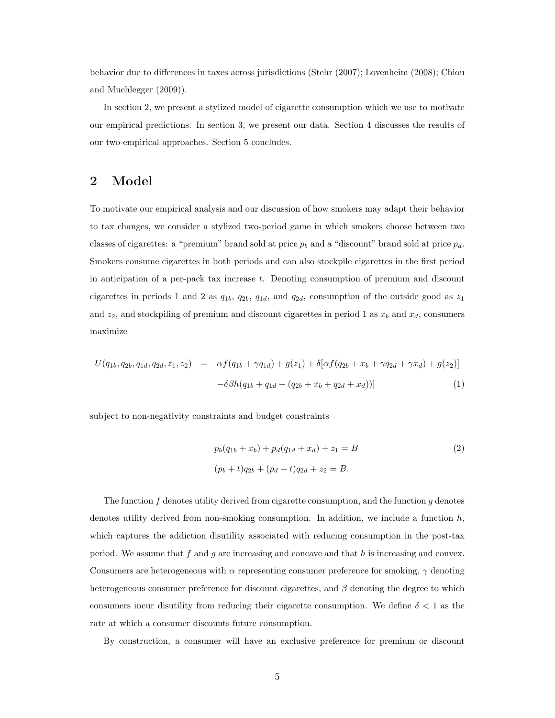behavior due to differences in taxes across jurisdictions (Stehr (2007); Lovenheim (2008); Chiou and Muehlegger (2009)).

In section 2, we present a stylized model of cigarette consumption which we use to motivate our empirical predictions. In section 3, we present our data. Section 4 discusses the results of our two empirical approaches. Section 5 concludes.

### 2 Model

To motivate our empirical analysis and our discussion of how smokers may adapt their behavior to tax changes, we consider a stylized two-period game in which smokers choose between two classes of cigarettes: a "premium" brand sold at price  $p_b$  and a "discount" brand sold at price  $p_d$ . Smokers consume cigarettes in both periods and can also stockpile cigarettes in the first period in anticipation of a per-pack tax increase t. Denoting consumption of premium and discount cigarettes in periods 1 and 2 as  $q_{1b}$ ,  $q_{2b}$ ,  $q_{1d}$ , and  $q_{2d}$ , consumption of the outside good as  $z_1$ and  $z_2$ , and stockpiling of premium and discount cigarettes in period 1 as  $x_b$  and  $x_d$ , consumers maximize

$$
U(q_{1b}, q_{2b}, q_{1d}, q_{2d}, z_1, z_2) = \alpha f(q_{1b} + \gamma q_{1d}) + g(z_1) + \delta[\alpha f(q_{2b} + x_b + \gamma q_{2d} + \gamma x_d) + g(z_2)] -\delta\beta h(q_{1b} + q_{1d} - (q_{2b} + x_b + q_{2d} + x_d))]
$$
\n(1)

subject to non-negativity constraints and budget constraints

$$
p_b(q_{1b} + x_b) + p_d(q_{1d} + x_d) + z_1 = B
$$
  
(2)  

$$
(p_b + t)q_{2b} + (p_d + t)q_{2d} + z_2 = B.
$$

The function  $f$  denotes utility derived from cigarette consumption, and the function  $g$  denotes denotes utility derived from non-smoking consumption. In addition, we include a function  $h$ , which captures the addiction disutility associated with reducing consumption in the post-tax period. We assume that  $f$  and  $g$  are increasing and concave and that  $h$  is increasing and convex. Consumers are heterogeneous with  $\alpha$  representing consumer preference for smoking,  $\gamma$  denoting heterogeneous consumer preference for discount cigarettes, and  $\beta$  denoting the degree to which consumers incur disutility from reducing their cigarette consumption. We define  $\delta < 1$  as the rate at which a consumer discounts future consumption.

By construction, a consumer will have an exclusive preference for premium or discount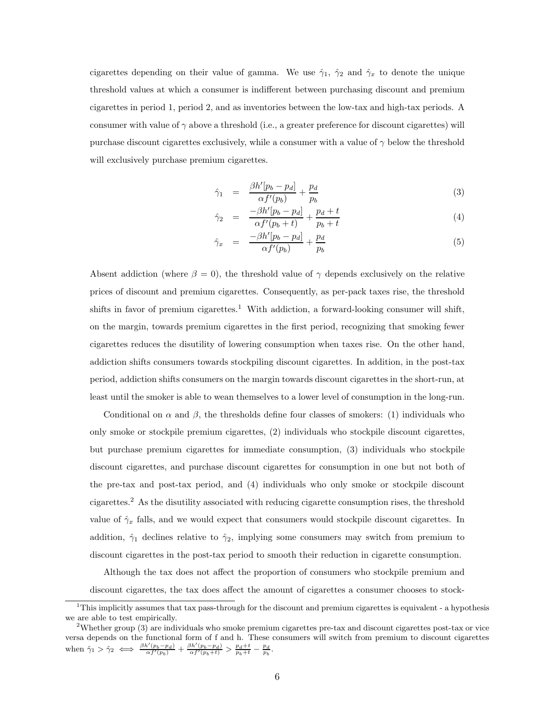cigarettes depending on their value of gamma. We use  $\hat{\gamma}_1$ ,  $\hat{\gamma}_2$  and  $\hat{\gamma}_x$  to denote the unique threshold values at which a consumer is indifferent between purchasing discount and premium cigarettes in period 1, period 2, and as inventories between the low-tax and high-tax periods. A consumer with value of  $\gamma$  above a threshold (i.e., a greater preference for discount cigarettes) will purchase discount cigarettes exclusively, while a consumer with a value of  $\gamma$  below the threshold will exclusively purchase premium cigarettes.

$$
\hat{\gamma}_1 = \frac{\beta h'[p_b - p_d]}{\alpha f'(p_b)} + \frac{p_d}{p_b} \tag{3}
$$

$$
\hat{\gamma}_2 = \frac{-\beta h'[p_b - p_d]}{\alpha f'(p_b + t)} + \frac{p_d + t}{p_b + t} \tag{4}
$$

$$
\hat{\gamma}_x = \frac{-\beta h'[p_b - p_d]}{\alpha f'(p_b)} + \frac{p_d}{p_b} \tag{5}
$$

Absent addiction (where  $\beta = 0$ ), the threshold value of  $\gamma$  depends exclusively on the relative prices of discount and premium cigarettes. Consequently, as per-pack taxes rise, the threshold shifts in favor of premium cigarettes.<sup>1</sup> With addiction, a forward-looking consumer will shift, on the margin, towards premium cigarettes in the first period, recognizing that smoking fewer cigarettes reduces the disutility of lowering consumption when taxes rise. On the other hand, addiction shifts consumers towards stockpiling discount cigarettes. In addition, in the post-tax period, addiction shifts consumers on the margin towards discount cigarettes in the short-run, at least until the smoker is able to wean themselves to a lower level of consumption in the long-run.

Conditional on  $\alpha$  and  $\beta$ , the thresholds define four classes of smokers: (1) individuals who only smoke or stockpile premium cigarettes, (2) individuals who stockpile discount cigarettes, but purchase premium cigarettes for immediate consumption, (3) individuals who stockpile discount cigarettes, and purchase discount cigarettes for consumption in one but not both of the pre-tax and post-tax period, and (4) individuals who only smoke or stockpile discount cigarettes.<sup>2</sup> As the disutility associated with reducing cigarette consumption rises, the threshold value of  $\hat{\gamma}_x$  falls, and we would expect that consumers would stockpile discount cigarettes. In addition,  $\hat{\gamma}_1$  declines relative to  $\hat{\gamma}_2$ , implying some consumers may switch from premium to discount cigarettes in the post-tax period to smooth their reduction in cigarette consumption.

Although the tax does not affect the proportion of consumers who stockpile premium and discount cigarettes, the tax does affect the amount of cigarettes a consumer chooses to stock-

 $1$ This implicitly assumes that tax pass-through for the discount and premium cigarettes is equivalent - a hypothesis we are able to test empirically.

<sup>&</sup>lt;sup>2</sup>Whether group (3) are individuals who smoke premium cigarettes pre-tax and discount cigarettes post-tax or vice versa depends on the functional form of f and h. These consumers will switch from premium to discount cigarettes when  $\hat{\gamma}_1 > \hat{\gamma}_2 \iff \frac{\beta h'(p_b - p_d)}{\alpha f'(p_b)} + \frac{\beta h'(p_b - p_d)}{\alpha f'(p_b + t)} > \frac{p_d + t}{p_b + t} - \frac{p_d}{p_b}.$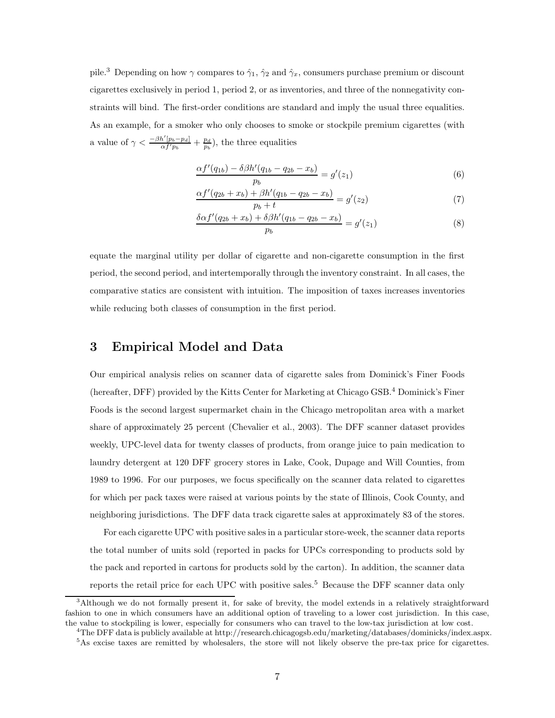pile.<sup>3</sup> Depending on how  $\gamma$  compares to  $\hat{\gamma}_1$ ,  $\hat{\gamma}_2$  and  $\hat{\gamma}_x$ , consumers purchase premium or discount cigarettes exclusively in period 1, period 2, or as inventories, and three of the nonnegativity constraints will bind. The first-order conditions are standard and imply the usual three equalities. As an example, for a smoker who only chooses to smoke or stockpile premium cigarettes (with a value of  $\gamma < \frac{-\beta h'[p_b - p_d]}{\alpha f' p_b} + \frac{p_d}{p_b}$ , the three equalities

$$
\frac{\alpha f'(q_{1b}) - \delta \beta h'(q_{1b} - q_{2b} - x_b)}{p_b} = g'(z_1)
$$
\n(6)

$$
\frac{\alpha f'(q_{2b} + x_b) + \beta h'(q_{1b} - q_{2b} - x_b)}{p_b + t} = g'(z_2)
$$
\n(7)

$$
\frac{\delta \alpha f'(q_{2b} + x_b) + \delta \beta h'(q_{1b} - q_{2b} - x_b)}{p_b} = g'(z_1)
$$
\n(8)

equate the marginal utility per dollar of cigarette and non-cigarette consumption in the first period, the second period, and intertemporally through the inventory constraint. In all cases, the comparative statics are consistent with intuition. The imposition of taxes increases inventories while reducing both classes of consumption in the first period.

#### 3 Empirical Model and Data

Our empirical analysis relies on scanner data of cigarette sales from Dominick's Finer Foods (hereafter, DFF) provided by the Kitts Center for Marketing at Chicago GSB.<sup>4</sup> Dominick's Finer Foods is the second largest supermarket chain in the Chicago metropolitan area with a market share of approximately 25 percent (Chevalier et al., 2003). The DFF scanner dataset provides weekly, UPC-level data for twenty classes of products, from orange juice to pain medication to laundry detergent at 120 DFF grocery stores in Lake, Cook, Dupage and Will Counties, from 1989 to 1996. For our purposes, we focus specifically on the scanner data related to cigarettes for which per pack taxes were raised at various points by the state of Illinois, Cook County, and neighboring jurisdictions. The DFF data track cigarette sales at approximately 83 of the stores.

For each cigarette UPC with positive sales in a particular store-week, the scanner data reports the total number of units sold (reported in packs for UPCs corresponding to products sold by the pack and reported in cartons for products sold by the carton). In addition, the scanner data reports the retail price for each UPC with positive sales.<sup>5</sup> Because the DFF scanner data only

<sup>&</sup>lt;sup>3</sup>Although we do not formally present it, for sake of brevity, the model extends in a relatively straightforward fashion to one in which consumers have an additional option of traveling to a lower cost jurisdiction. In this case, the value to stockpiling is lower, especially for consumers who can travel to the low-tax jurisdiction at low cost.

 $^4{\rm The\,DFF}$  data is publicly available at http://research.chicagogsb.edu/marketing/databases/dominicks/index.aspx.

<sup>&</sup>lt;sup>5</sup>As excise taxes are remitted by wholesalers, the store will not likely observe the pre-tax price for cigarettes.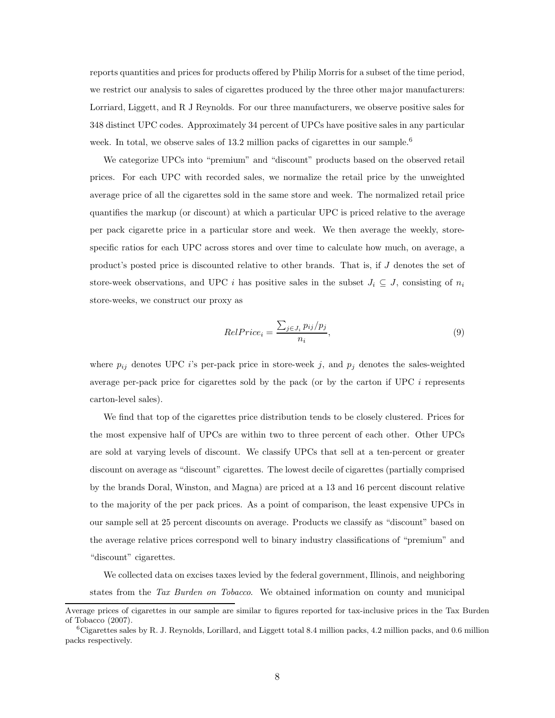reports quantities and prices for products offered by Philip Morris for a subset of the time period, we restrict our analysis to sales of cigarettes produced by the three other major manufacturers: Lorriard, Liggett, and R J Reynolds. For our three manufacturers, we observe positive sales for 348 distinct UPC codes. Approximately 34 percent of UPCs have positive sales in any particular week. In total, we observe sales of 13.2 million packs of cigarettes in our sample.<sup>6</sup>

We categorize UPCs into "premium" and "discount" products based on the observed retail prices. For each UPC with recorded sales, we normalize the retail price by the unweighted average price of all the cigarettes sold in the same store and week. The normalized retail price quantifies the markup (or discount) at which a particular UPC is priced relative to the average per pack cigarette price in a particular store and week. We then average the weekly, storespecific ratios for each UPC across stores and over time to calculate how much, on average, a product's posted price is discounted relative to other brands. That is, if J denotes the set of store-week observations, and UPC i has positive sales in the subset  $J_i \subseteq J$ , consisting of  $n_i$ store-weeks, we construct our proxy as

$$
RelPrice_i = \frac{\sum_{j \in J_i} p_{ij} / p_j}{n_i},\tag{9}
$$

where  $p_{ij}$  denotes UPC i's per-pack price in store-week j, and  $p_j$  denotes the sales-weighted average per-pack price for cigarettes sold by the pack (or by the carton if UPC  $i$  represents carton-level sales).

We find that top of the cigarettes price distribution tends to be closely clustered. Prices for the most expensive half of UPCs are within two to three percent of each other. Other UPCs are sold at varying levels of discount. We classify UPCs that sell at a ten-percent or greater discount on average as "discount" cigarettes. The lowest decile of cigarettes (partially comprised by the brands Doral, Winston, and Magna) are priced at a 13 and 16 percent discount relative to the majority of the per pack prices. As a point of comparison, the least expensive UPCs in our sample sell at 25 percent discounts on average. Products we classify as "discount" based on the average relative prices correspond well to binary industry classifications of "premium" and "discount" cigarettes.

We collected data on excises taxes levied by the federal government, Illinois, and neighboring states from the Tax Burden on Tobacco. We obtained information on county and municipal

Average prices of cigarettes in our sample are similar to figures reported for tax-inclusive prices in the Tax Burden of Tobacco (2007).

 ${}^6$ Cigarettes sales by R. J. Reynolds, Lorillard, and Liggett total 8.4 million packs, 4.2 million packs, and 0.6 million packs respectively.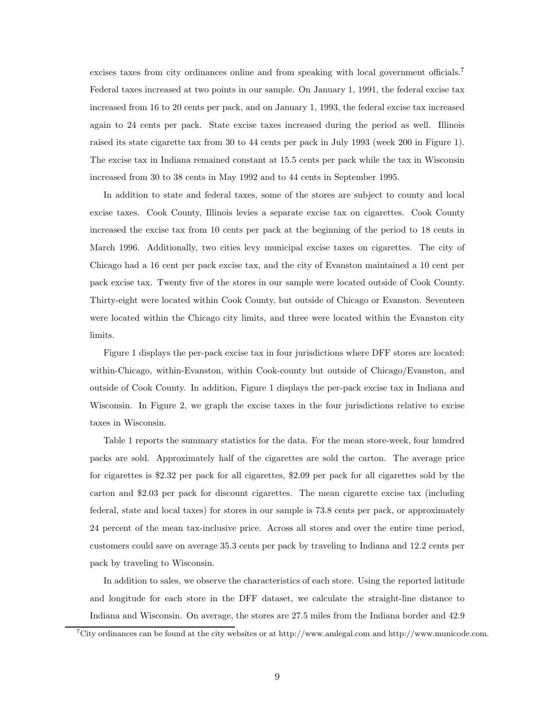excises taxes from city ordinances online and from speaking with local government officials.<sup>7</sup> Federal taxes increased at two points in our sample. On January 1, 1991, the federal excise tax increased from 16 to 20 cents per pack, and on January 1, 1993, the federal excise tax increased again to 24 cents per pack. State excise taxes increased during the period as well. Illinois raised its state cigarette tax from 30 to 44 cents per pack in July 1993 (week 200 in Figure 1). The excise tax in Indiana remained constant at 15.5 cents per pack while the tax in Wisconsin increased from 30 to 38 cents in May 1992 and to 44 cents in September 1995.

In addition to state and federal taxes, some of the stores are subject to county and local excise taxes. Cook County, Illinois levies a separate excise tax on cigarettes. Cook County increased the excise tax from 10 cents per pack at the beginning of the period to 18 cents in March 1996. Additionally, two cities levy municipal excise taxes on cigarettes. The city of Chicago had a 16 cent per pack excise tax, and the city of Evanston maintained a 10 cent per pack excise tax. Twenty five of the stores in our sample were located outside of Cook County. Thirty-eight were located within Cook County, but outside of Chicago or Evanston. Seventeen were located within the Chicago city limits, and three were located within the Evanston city limits.

Figure 1 displays the per-pack excise tax in four jurisdictions where DFF stores are located: within-Chicago, within-Evanston, within Cook-county but outside of Chicago/Evanston, and outside of Cook County. In addition, Figure 1 displays the per-pack excise tax in Indiana and Wisconsin. In Figure 2, we graph the excise taxes in the four jurisdictions relative to excise taxes in Wisconsin.

Table 1 reports the summary statistics for the data. For the mean store-week, four hundred packs are sold. Approximately half of the cigarettes are sold the carton. The average price for cigarettes is \$2.32 per pack for all cigarettes, \$2.09 per pack for all cigarettes sold by the carton and \$2.03 per pack for discount cigarettes. The mean cigarette excise tax (including federal, state and local taxes) for stores in our sample is 73.8 cents per pack, or approximately 24 percent of the mean tax-inclusive price. Across all stores and over the entire time period, customers could save on average 35.3 cents per pack by traveling to Indiana and 12.2 cents per pack by traveling to Wisconsin.

In addition to sales, we observe the characteristics of each store. Using the reported latitude and longitude for each store in the DFF dataset, we calculate the straight-line distance to Indiana and Wisconsin. On average, the stores are 27.5 miles from the Indiana border and 42.9

<sup>7</sup>City ordinances can be found at the city websites or at http://www.amlegal.com and http://www.municode.com.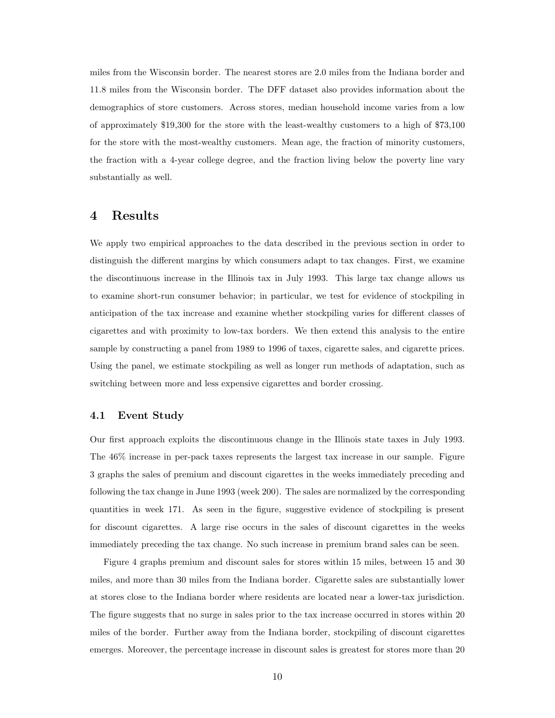miles from the Wisconsin border. The nearest stores are 2.0 miles from the Indiana border and 11.8 miles from the Wisconsin border. The DFF dataset also provides information about the demographics of store customers. Across stores, median household income varies from a low of approximately \$19,300 for the store with the least-wealthy customers to a high of \$73,100 for the store with the most-wealthy customers. Mean age, the fraction of minority customers, the fraction with a 4-year college degree, and the fraction living below the poverty line vary substantially as well.

#### 4 Results

We apply two empirical approaches to the data described in the previous section in order to distinguish the different margins by which consumers adapt to tax changes. First, we examine the discontinuous increase in the Illinois tax in July 1993. This large tax change allows us to examine short-run consumer behavior; in particular, we test for evidence of stockpiling in anticipation of the tax increase and examine whether stockpiling varies for different classes of cigarettes and with proximity to low-tax borders. We then extend this analysis to the entire sample by constructing a panel from 1989 to 1996 of taxes, cigarette sales, and cigarette prices. Using the panel, we estimate stockpiling as well as longer run methods of adaptation, such as switching between more and less expensive cigarettes and border crossing.

#### 4.1 Event Study

Our first approach exploits the discontinuous change in the Illinois state taxes in July 1993. The 46% increase in per-pack taxes represents the largest tax increase in our sample. Figure 3 graphs the sales of premium and discount cigarettes in the weeks immediately preceding and following the tax change in June 1993 (week 200). The sales are normalized by the corresponding quantities in week 171. As seen in the figure, suggestive evidence of stockpiling is present for discount cigarettes. A large rise occurs in the sales of discount cigarettes in the weeks immediately preceding the tax change. No such increase in premium brand sales can be seen.

Figure 4 graphs premium and discount sales for stores within 15 miles, between 15 and 30 miles, and more than 30 miles from the Indiana border. Cigarette sales are substantially lower at stores close to the Indiana border where residents are located near a lower-tax jurisdiction. The figure suggests that no surge in sales prior to the tax increase occurred in stores within 20 miles of the border. Further away from the Indiana border, stockpiling of discount cigarettes emerges. Moreover, the percentage increase in discount sales is greatest for stores more than 20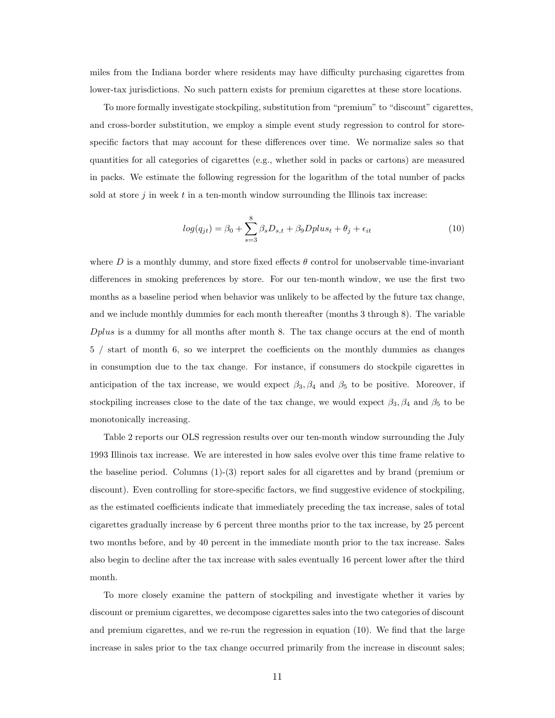miles from the Indiana border where residents may have difficulty purchasing cigarettes from lower-tax jurisdictions. No such pattern exists for premium cigarettes at these store locations.

To more formally investigate stockpiling, substitution from "premium" to "discount" cigarettes, and cross-border substitution, we employ a simple event study regression to control for storespecific factors that may account for these differences over time. We normalize sales so that quantities for all categories of cigarettes (e.g., whether sold in packs or cartons) are measured in packs. We estimate the following regression for the logarithm of the total number of packs sold at store  $j$  in week  $t$  in a ten-month window surrounding the Illinois tax increase:

$$
log(q_{jt}) = \beta_0 + \sum_{s=3}^{8} \beta_s D_{s,t} + \beta_9 Dplus_t + \theta_j + \epsilon_{it}
$$
\n(10)

where D is a monthly dummy, and store fixed effects  $\theta$  control for unobservable time-invariant differences in smoking preferences by store. For our ten-month window, we use the first two months as a baseline period when behavior was unlikely to be affected by the future tax change, and we include monthly dummies for each month thereafter (months 3 through 8). The variable Dplus is a dummy for all months after month 8. The tax change occurs at the end of month 5 / start of month 6, so we interpret the coefficients on the monthly dummies as changes in consumption due to the tax change. For instance, if consumers do stockpile cigarettes in anticipation of the tax increase, we would expect  $\beta_3, \beta_4$  and  $\beta_5$  to be positive. Moreover, if stockpiling increases close to the date of the tax change, we would expect  $\beta_3$ ,  $\beta_4$  and  $\beta_5$  to be monotonically increasing.

Table 2 reports our OLS regression results over our ten-month window surrounding the July 1993 Illinois tax increase. We are interested in how sales evolve over this time frame relative to the baseline period. Columns (1)-(3) report sales for all cigarettes and by brand (premium or discount). Even controlling for store-specific factors, we find suggestive evidence of stockpiling, as the estimated coefficients indicate that immediately preceding the tax increase, sales of total cigarettes gradually increase by 6 percent three months prior to the tax increase, by 25 percent two months before, and by 40 percent in the immediate month prior to the tax increase. Sales also begin to decline after the tax increase with sales eventually 16 percent lower after the third month.

To more closely examine the pattern of stockpiling and investigate whether it varies by discount or premium cigarettes, we decompose cigarettes sales into the two categories of discount and premium cigarettes, and we re-run the regression in equation (10). We find that the large increase in sales prior to the tax change occurred primarily from the increase in discount sales;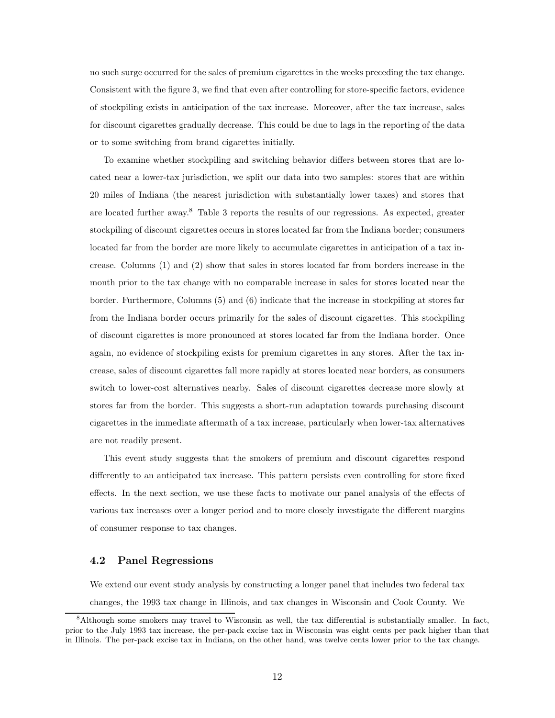no such surge occurred for the sales of premium cigarettes in the weeks preceding the tax change. Consistent with the figure 3, we find that even after controlling for store-specific factors, evidence of stockpiling exists in anticipation of the tax increase. Moreover, after the tax increase, sales for discount cigarettes gradually decrease. This could be due to lags in the reporting of the data or to some switching from brand cigarettes initially.

To examine whether stockpiling and switching behavior differs between stores that are located near a lower-tax jurisdiction, we split our data into two samples: stores that are within 20 miles of Indiana (the nearest jurisdiction with substantially lower taxes) and stores that are located further away.<sup>8</sup> Table 3 reports the results of our regressions. As expected, greater stockpiling of discount cigarettes occurs in stores located far from the Indiana border; consumers located far from the border are more likely to accumulate cigarettes in anticipation of a tax increase. Columns (1) and (2) show that sales in stores located far from borders increase in the month prior to the tax change with no comparable increase in sales for stores located near the border. Furthermore, Columns (5) and (6) indicate that the increase in stockpiling at stores far from the Indiana border occurs primarily for the sales of discount cigarettes. This stockpiling of discount cigarettes is more pronounced at stores located far from the Indiana border. Once again, no evidence of stockpiling exists for premium cigarettes in any stores. After the tax increase, sales of discount cigarettes fall more rapidly at stores located near borders, as consumers switch to lower-cost alternatives nearby. Sales of discount cigarettes decrease more slowly at stores far from the border. This suggests a short-run adaptation towards purchasing discount cigarettes in the immediate aftermath of a tax increase, particularly when lower-tax alternatives are not readily present.

This event study suggests that the smokers of premium and discount cigarettes respond differently to an anticipated tax increase. This pattern persists even controlling for store fixed effects. In the next section, we use these facts to motivate our panel analysis of the effects of various tax increases over a longer period and to more closely investigate the different margins of consumer response to tax changes.

#### 4.2 Panel Regressions

We extend our event study analysis by constructing a longer panel that includes two federal tax changes, the 1993 tax change in Illinois, and tax changes in Wisconsin and Cook County. We

<sup>&</sup>lt;sup>8</sup>Although some smokers may travel to Wisconsin as well, the tax differential is substantially smaller. In fact, prior to the July 1993 tax increase, the per-pack excise tax in Wisconsin was eight cents per pack higher than that in Illinois. The per-pack excise tax in Indiana, on the other hand, was twelve cents lower prior to the tax change.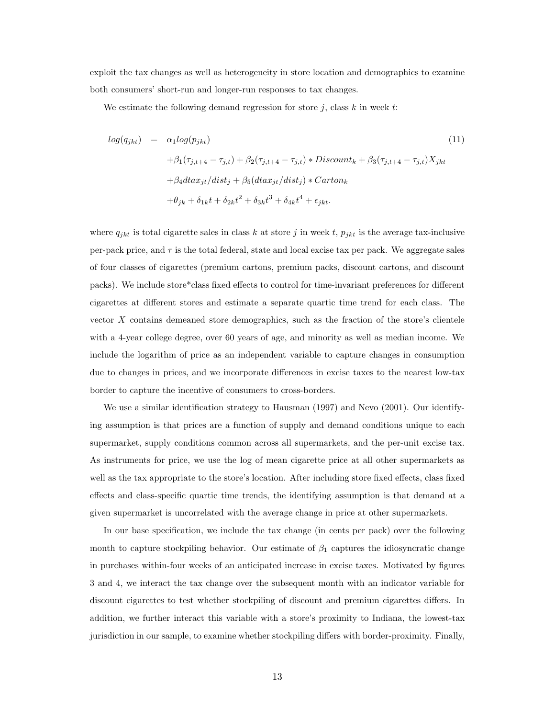exploit the tax changes as well as heterogeneity in store location and demographics to examine both consumers' short-run and longer-run responses to tax changes.

We estimate the following demand regression for store  $i$ , class  $k$  in week  $t$ :

$$
log(q_{jkt}) = \alpha_1 log(p_{jkt})
$$
\n
$$
+ \beta_1(\tau_{j,t+4} - \tau_{j,t}) + \beta_2(\tau_{j,t+4} - \tau_{j,t}) * Discount_k + \beta_3(\tau_{j,t+4} - \tau_{j,t})X_{jkt}
$$
\n
$$
+ \beta_4 dta x_{jt}/dist_j + \beta_5 (dta x_{jt}/dist_j) * Carton_k
$$
\n
$$
+ \theta_{jk} + \delta_{1k}t + \delta_{2k}t^2 + \delta_{3k}t^3 + \delta_{4k}t^4 + \epsilon_{jkt}.
$$
\n(11)

where  $q_{jkt}$  is total cigarette sales in class k at store j in week t,  $p_{jkt}$  is the average tax-inclusive per-pack price, and  $\tau$  is the total federal, state and local excise tax per pack. We aggregate sales of four classes of cigarettes (premium cartons, premium packs, discount cartons, and discount packs). We include store\*class fixed effects to control for time-invariant preferences for different cigarettes at different stores and estimate a separate quartic time trend for each class. The vector  $X$  contains demeaned store demographics, such as the fraction of the store's clientele with a 4-year college degree, over 60 years of age, and minority as well as median income. We include the logarithm of price as an independent variable to capture changes in consumption due to changes in prices, and we incorporate differences in excise taxes to the nearest low-tax border to capture the incentive of consumers to cross-borders.

We use a similar identification strategy to Hausman (1997) and Nevo (2001). Our identifying assumption is that prices are a function of supply and demand conditions unique to each supermarket, supply conditions common across all supermarkets, and the per-unit excise tax. As instruments for price, we use the log of mean cigarette price at all other supermarkets as well as the tax appropriate to the store's location. After including store fixed effects, class fixed effects and class-specific quartic time trends, the identifying assumption is that demand at a given supermarket is uncorrelated with the average change in price at other supermarkets.

In our base specification, we include the tax change (in cents per pack) over the following month to capture stockpiling behavior. Our estimate of  $\beta_1$  captures the idiosyncratic change in purchases within-four weeks of an anticipated increase in excise taxes. Motivated by figures 3 and 4, we interact the tax change over the subsequent month with an indicator variable for discount cigarettes to test whether stockpiling of discount and premium cigarettes differs. In addition, we further interact this variable with a store's proximity to Indiana, the lowest-tax jurisdiction in our sample, to examine whether stockpiling differs with border-proximity. Finally,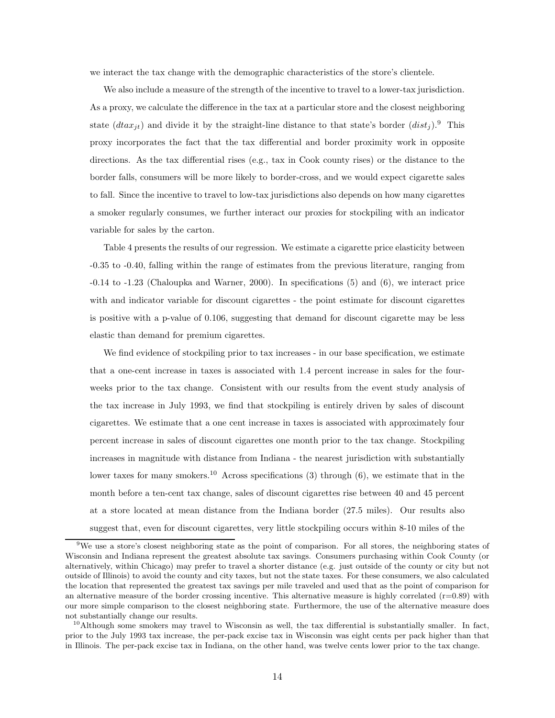we interact the tax change with the demographic characteristics of the store's clientele.

We also include a measure of the strength of the incentive to travel to a lower-tax jurisdiction. As a proxy, we calculate the difference in the tax at a particular store and the closest neighboring state  $(dtax_{it})$  and divide it by the straight-line distance to that state's border  $(dist_i)$ .<sup>9</sup> This proxy incorporates the fact that the tax differential and border proximity work in opposite directions. As the tax differential rises (e.g., tax in Cook county rises) or the distance to the border falls, consumers will be more likely to border-cross, and we would expect cigarette sales to fall. Since the incentive to travel to low-tax jurisdictions also depends on how many cigarettes a smoker regularly consumes, we further interact our proxies for stockpiling with an indicator variable for sales by the carton.

Table 4 presents the results of our regression. We estimate a cigarette price elasticity between -0.35 to -0.40, falling within the range of estimates from the previous literature, ranging from -0.14 to -1.23 (Chaloupka and Warner, 2000). In specifications (5) and (6), we interact price with and indicator variable for discount cigarettes - the point estimate for discount cigarettes is positive with a p-value of 0.106, suggesting that demand for discount cigarette may be less elastic than demand for premium cigarettes.

We find evidence of stockpiling prior to tax increases - in our base specification, we estimate that a one-cent increase in taxes is associated with 1.4 percent increase in sales for the fourweeks prior to the tax change. Consistent with our results from the event study analysis of the tax increase in July 1993, we find that stockpiling is entirely driven by sales of discount cigarettes. We estimate that a one cent increase in taxes is associated with approximately four percent increase in sales of discount cigarettes one month prior to the tax change. Stockpiling increases in magnitude with distance from Indiana - the nearest jurisdiction with substantially lower taxes for many smokers.<sup>10</sup> Across specifications (3) through (6), we estimate that in the month before a ten-cent tax change, sales of discount cigarettes rise between 40 and 45 percent at a store located at mean distance from the Indiana border (27.5 miles). Our results also suggest that, even for discount cigarettes, very little stockpiling occurs within 8-10 miles of the

<sup>&</sup>lt;sup>9</sup>We use a store's closest neighboring state as the point of comparison. For all stores, the neighboring states of Wisconsin and Indiana represent the greatest absolute tax savings. Consumers purchasing within Cook County (or alternatively, within Chicago) may prefer to travel a shorter distance (e.g. just outside of the county or city but not outside of Illinois) to avoid the county and city taxes, but not the state taxes. For these consumers, we also calculated the location that represented the greatest tax savings per mile traveled and used that as the point of comparison for an alternative measure of the border crossing incentive. This alternative measure is highly correlated  $(r=0.89)$  with our more simple comparison to the closest neighboring state. Furthermore, the use of the alternative measure does not substantially change our results.

 $10$ Although some smokers may travel to Wisconsin as well, the tax differential is substantially smaller. In fact, prior to the July 1993 tax increase, the per-pack excise tax in Wisconsin was eight cents per pack higher than that in Illinois. The per-pack excise tax in Indiana, on the other hand, was twelve cents lower prior to the tax change.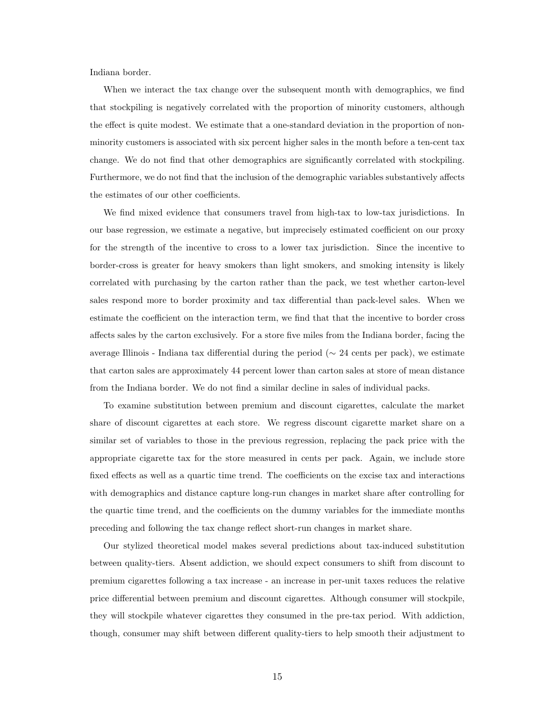Indiana border.

When we interact the tax change over the subsequent month with demographics, we find that stockpiling is negatively correlated with the proportion of minority customers, although the effect is quite modest. We estimate that a one-standard deviation in the proportion of nonminority customers is associated with six percent higher sales in the month before a ten-cent tax change. We do not find that other demographics are significantly correlated with stockpiling. Furthermore, we do not find that the inclusion of the demographic variables substantively affects the estimates of our other coefficients.

We find mixed evidence that consumers travel from high-tax to low-tax jurisdictions. In our base regression, we estimate a negative, but imprecisely estimated coefficient on our proxy for the strength of the incentive to cross to a lower tax jurisdiction. Since the incentive to border-cross is greater for heavy smokers than light smokers, and smoking intensity is likely correlated with purchasing by the carton rather than the pack, we test whether carton-level sales respond more to border proximity and tax differential than pack-level sales. When we estimate the coefficient on the interaction term, we find that that the incentive to border cross affects sales by the carton exclusively. For a store five miles from the Indiana border, facing the average Illinois - Indiana tax differential during the period ( $\sim$  24 cents per pack), we estimate that carton sales are approximately 44 percent lower than carton sales at store of mean distance from the Indiana border. We do not find a similar decline in sales of individual packs.

To examine substitution between premium and discount cigarettes, calculate the market share of discount cigarettes at each store. We regress discount cigarette market share on a similar set of variables to those in the previous regression, replacing the pack price with the appropriate cigarette tax for the store measured in cents per pack. Again, we include store fixed effects as well as a quartic time trend. The coefficients on the excise tax and interactions with demographics and distance capture long-run changes in market share after controlling for the quartic time trend, and the coefficients on the dummy variables for the immediate months preceding and following the tax change reflect short-run changes in market share.

Our stylized theoretical model makes several predictions about tax-induced substitution between quality-tiers. Absent addiction, we should expect consumers to shift from discount to premium cigarettes following a tax increase - an increase in per-unit taxes reduces the relative price differential between premium and discount cigarettes. Although consumer will stockpile, they will stockpile whatever cigarettes they consumed in the pre-tax period. With addiction, though, consumer may shift between different quality-tiers to help smooth their adjustment to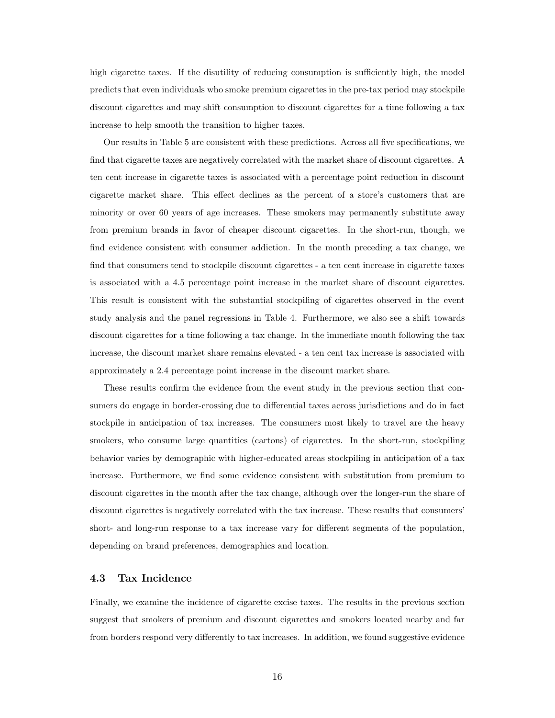high cigarette taxes. If the disutility of reducing consumption is sufficiently high, the model predicts that even individuals who smoke premium cigarettes in the pre-tax period may stockpile discount cigarettes and may shift consumption to discount cigarettes for a time following a tax increase to help smooth the transition to higher taxes.

Our results in Table 5 are consistent with these predictions. Across all five specifications, we find that cigarette taxes are negatively correlated with the market share of discount cigarettes. A ten cent increase in cigarette taxes is associated with a percentage point reduction in discount cigarette market share. This effect declines as the percent of a store's customers that are minority or over 60 years of age increases. These smokers may permanently substitute away from premium brands in favor of cheaper discount cigarettes. In the short-run, though, we find evidence consistent with consumer addiction. In the month preceding a tax change, we find that consumers tend to stockpile discount cigarettes - a ten cent increase in cigarette taxes is associated with a 4.5 percentage point increase in the market share of discount cigarettes. This result is consistent with the substantial stockpiling of cigarettes observed in the event study analysis and the panel regressions in Table 4. Furthermore, we also see a shift towards discount cigarettes for a time following a tax change. In the immediate month following the tax increase, the discount market share remains elevated - a ten cent tax increase is associated with approximately a 2.4 percentage point increase in the discount market share.

These results confirm the evidence from the event study in the previous section that consumers do engage in border-crossing due to differential taxes across jurisdictions and do in fact stockpile in anticipation of tax increases. The consumers most likely to travel are the heavy smokers, who consume large quantities (cartons) of cigarettes. In the short-run, stockpiling behavior varies by demographic with higher-educated areas stockpiling in anticipation of a tax increase. Furthermore, we find some evidence consistent with substitution from premium to discount cigarettes in the month after the tax change, although over the longer-run the share of discount cigarettes is negatively correlated with the tax increase. These results that consumers' short- and long-run response to a tax increase vary for different segments of the population, depending on brand preferences, demographics and location.

#### 4.3 Tax Incidence

Finally, we examine the incidence of cigarette excise taxes. The results in the previous section suggest that smokers of premium and discount cigarettes and smokers located nearby and far from borders respond very differently to tax increases. In addition, we found suggestive evidence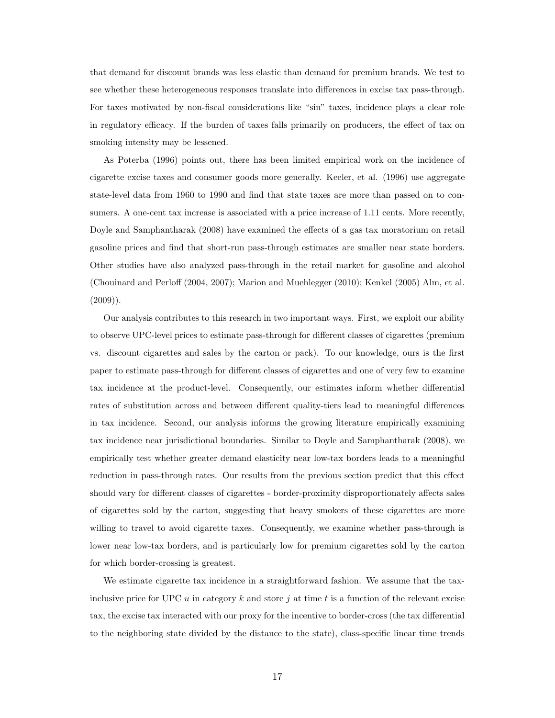that demand for discount brands was less elastic than demand for premium brands. We test to see whether these heterogeneous responses translate into differences in excise tax pass-through. For taxes motivated by non-fiscal considerations like "sin" taxes, incidence plays a clear role in regulatory efficacy. If the burden of taxes falls primarily on producers, the effect of tax on smoking intensity may be lessened.

As Poterba (1996) points out, there has been limited empirical work on the incidence of cigarette excise taxes and consumer goods more generally. Keeler, et al. (1996) use aggregate state-level data from 1960 to 1990 and find that state taxes are more than passed on to consumers. A one-cent tax increase is associated with a price increase of 1.11 cents. More recently, Doyle and Samphantharak (2008) have examined the effects of a gas tax moratorium on retail gasoline prices and find that short-run pass-through estimates are smaller near state borders. Other studies have also analyzed pass-through in the retail market for gasoline and alcohol (Chouinard and Perloff (2004, 2007); Marion and Muehlegger (2010); Kenkel (2005) Alm, et al.  $(2009)$ ).

Our analysis contributes to this research in two important ways. First, we exploit our ability to observe UPC-level prices to estimate pass-through for different classes of cigarettes (premium vs. discount cigarettes and sales by the carton or pack). To our knowledge, ours is the first paper to estimate pass-through for different classes of cigarettes and one of very few to examine tax incidence at the product-level. Consequently, our estimates inform whether differential rates of substitution across and between different quality-tiers lead to meaningful differences in tax incidence. Second, our analysis informs the growing literature empirically examining tax incidence near jurisdictional boundaries. Similar to Doyle and Samphantharak (2008), we empirically test whether greater demand elasticity near low-tax borders leads to a meaningful reduction in pass-through rates. Our results from the previous section predict that this effect should vary for different classes of cigarettes - border-proximity disproportionately affects sales of cigarettes sold by the carton, suggesting that heavy smokers of these cigarettes are more willing to travel to avoid cigarette taxes. Consequently, we examine whether pass-through is lower near low-tax borders, and is particularly low for premium cigarettes sold by the carton for which border-crossing is greatest.

We estimate cigarette tax incidence in a straightforward fashion. We assume that the taxinclusive price for UPC u in category k and store j at time t is a function of the relevant excise tax, the excise tax interacted with our proxy for the incentive to border-cross (the tax differential to the neighboring state divided by the distance to the state), class-specific linear time trends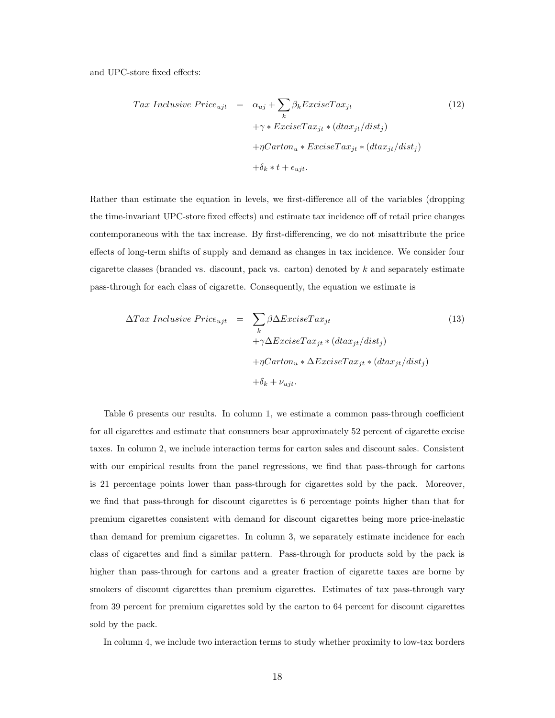and UPC-store fixed effects:

$$
Tax\ Indusive\ Price_{ujt} = \alpha_{uj} + \sum_{k} \beta_{k} ExciseTax_{jt}
$$
  
+  $\gamma * ExciseTax_{jt} * (dtax_{jt}/dist_{j})$   
+  $\eta Carton_{u} * ExciseTax_{jt} * (dtax_{jt}/dist_{j})$   
+  $\delta_{k} * t + \epsilon_{ujt}$ . (12)

Rather than estimate the equation in levels, we first-difference all of the variables (dropping the time-invariant UPC-store fixed effects) and estimate tax incidence off of retail price changes contemporaneous with the tax increase. By first-differencing, we do not misattribute the price effects of long-term shifts of supply and demand as changes in tax incidence. We consider four cigarette classes (branded vs. discount, pack vs. carton) denoted by  $k$  and separately estimate pass-through for each class of cigarette. Consequently, the equation we estimate is

$$
\Delta Tax\ Indusive\ Price_{ujt} = \sum_{k} \beta \Delta ExciseTax_{jt} + \gamma \Delta ExciseTax_{jt} * (dtax_{jt}/dist_j) + \eta Carton_u * \Delta ExciseTax_{jt} * (dtax_{jt}/dist_j) + \delta_k + \nu_{ujt}.
$$
\n
$$
(13)
$$

Table 6 presents our results. In column 1, we estimate a common pass-through coefficient for all cigarettes and estimate that consumers bear approximately 52 percent of cigarette excise taxes. In column 2, we include interaction terms for carton sales and discount sales. Consistent with our empirical results from the panel regressions, we find that pass-through for cartons is 21 percentage points lower than pass-through for cigarettes sold by the pack. Moreover, we find that pass-through for discount cigarettes is 6 percentage points higher than that for premium cigarettes consistent with demand for discount cigarettes being more price-inelastic than demand for premium cigarettes. In column 3, we separately estimate incidence for each class of cigarettes and find a similar pattern. Pass-through for products sold by the pack is higher than pass-through for cartons and a greater fraction of cigarette taxes are borne by smokers of discount cigarettes than premium cigarettes. Estimates of tax pass-through vary from 39 percent for premium cigarettes sold by the carton to 64 percent for discount cigarettes sold by the pack.

In column 4, we include two interaction terms to study whether proximity to low-tax borders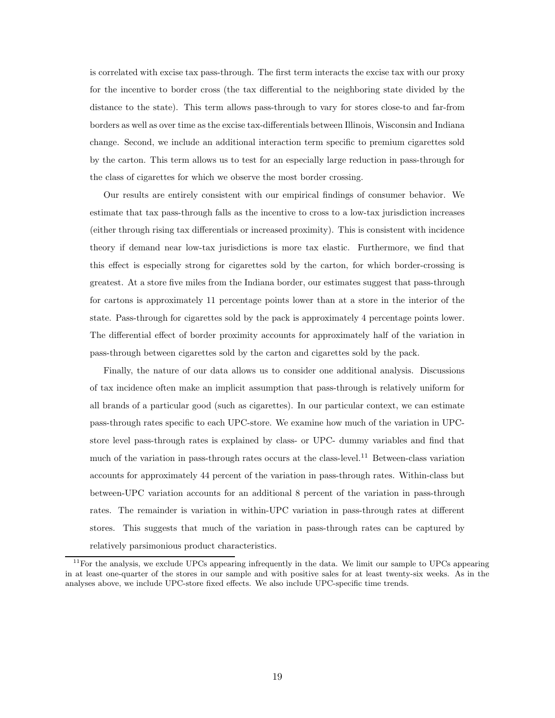is correlated with excise tax pass-through. The first term interacts the excise tax with our proxy for the incentive to border cross (the tax differential to the neighboring state divided by the distance to the state). This term allows pass-through to vary for stores close-to and far-from borders as well as over time as the excise tax-differentials between Illinois, Wisconsin and Indiana change. Second, we include an additional interaction term specific to premium cigarettes sold by the carton. This term allows us to test for an especially large reduction in pass-through for the class of cigarettes for which we observe the most border crossing.

Our results are entirely consistent with our empirical findings of consumer behavior. We estimate that tax pass-through falls as the incentive to cross to a low-tax jurisdiction increases (either through rising tax differentials or increased proximity). This is consistent with incidence theory if demand near low-tax jurisdictions is more tax elastic. Furthermore, we find that this effect is especially strong for cigarettes sold by the carton, for which border-crossing is greatest. At a store five miles from the Indiana border, our estimates suggest that pass-through for cartons is approximately 11 percentage points lower than at a store in the interior of the state. Pass-through for cigarettes sold by the pack is approximately 4 percentage points lower. The differential effect of border proximity accounts for approximately half of the variation in pass-through between cigarettes sold by the carton and cigarettes sold by the pack.

Finally, the nature of our data allows us to consider one additional analysis. Discussions of tax incidence often make an implicit assumption that pass-through is relatively uniform for all brands of a particular good (such as cigarettes). In our particular context, we can estimate pass-through rates specific to each UPC-store. We examine how much of the variation in UPCstore level pass-through rates is explained by class- or UPC- dummy variables and find that much of the variation in pass-through rates occurs at the class-level.<sup>11</sup> Between-class variation accounts for approximately 44 percent of the variation in pass-through rates. Within-class but between-UPC variation accounts for an additional 8 percent of the variation in pass-through rates. The remainder is variation in within-UPC variation in pass-through rates at different stores. This suggests that much of the variation in pass-through rates can be captured by relatively parsimonious product characteristics.

 $11$  For the analysis, we exclude UPCs appearing infrequently in the data. We limit our sample to UPCs appearing in at least one-quarter of the stores in our sample and with positive sales for at least twenty-six weeks. As in the analyses above, we include UPC-store fixed effects. We also include UPC-specific time trends.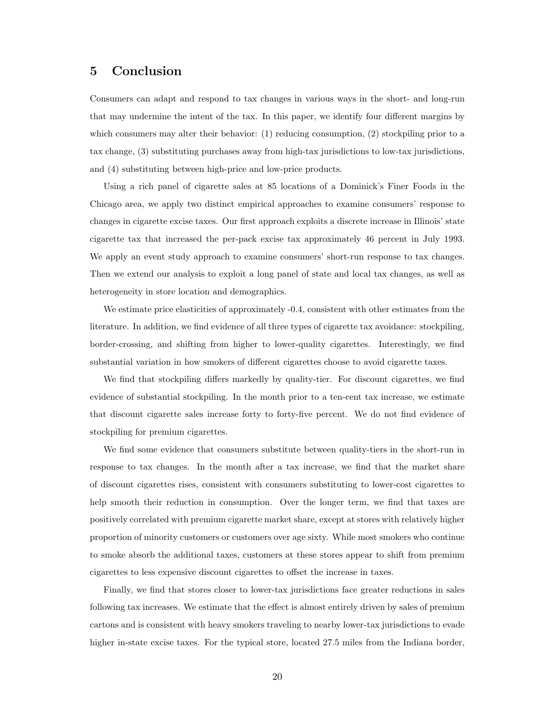## 5 Conclusion

Consumers can adapt and respond to tax changes in various ways in the short- and long-run that may undermine the intent of the tax. In this paper, we identify four different margins by which consumers may alter their behavior: (1) reducing consumption, (2) stockpiling prior to a tax change, (3) substituting purchases away from high-tax jurisdictions to low-tax jurisdictions, and (4) substituting between high-price and low-price products.

Using a rich panel of cigarette sales at 85 locations of a Dominick's Finer Foods in the Chicago area, we apply two distinct empirical approaches to examine consumers' response to changes in cigarette excise taxes. Our first approach exploits a discrete increase in Illinois' state cigarette tax that increased the per-pack excise tax approximately 46 percent in July 1993. We apply an event study approach to examine consumers' short-run response to tax changes. Then we extend our analysis to exploit a long panel of state and local tax changes, as well as heterogeneity in store location and demographics.

We estimate price elasticities of approximately  $-0.4$ , consistent with other estimates from the literature. In addition, we find evidence of all three types of cigarette tax avoidance: stockpiling, border-crossing, and shifting from higher to lower-quality cigarettes. Interestingly, we find substantial variation in how smokers of different cigarettes choose to avoid cigarette taxes.

We find that stockpiling differs markedly by quality-tier. For discount cigarettes, we find evidence of substantial stockpiling. In the month prior to a ten-cent tax increase, we estimate that discount cigarette sales increase forty to forty-five percent. We do not find evidence of stockpiling for premium cigarettes.

We find some evidence that consumers substitute between quality-tiers in the short-run in response to tax changes. In the month after a tax increase, we find that the market share of discount cigarettes rises, consistent with consumers substituting to lower-cost cigarettes to help smooth their reduction in consumption. Over the longer term, we find that taxes are positively correlated with premium cigarette market share, except at stores with relatively higher proportion of minority customers or customers over age sixty. While most smokers who continue to smoke absorb the additional taxes, customers at these stores appear to shift from premium cigarettes to less expensive discount cigarettes to offset the increase in taxes.

Finally, we find that stores closer to lower-tax jurisdictions face greater reductions in sales following tax increases. We estimate that the effect is almost entirely driven by sales of premium cartons and is consistent with heavy smokers traveling to nearby lower-tax jurisdictions to evade higher in-state excise taxes. For the typical store, located 27.5 miles from the Indiana border,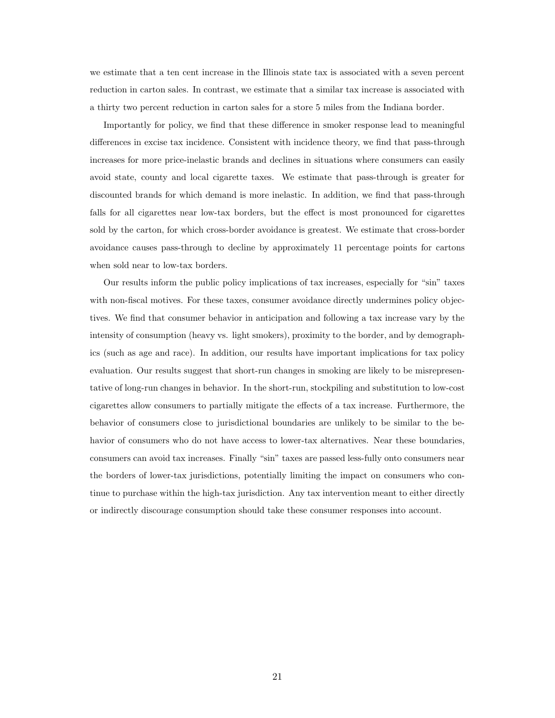we estimate that a ten cent increase in the Illinois state tax is associated with a seven percent reduction in carton sales. In contrast, we estimate that a similar tax increase is associated with a thirty two percent reduction in carton sales for a store 5 miles from the Indiana border.

Importantly for policy, we find that these difference in smoker response lead to meaningful differences in excise tax incidence. Consistent with incidence theory, we find that pass-through increases for more price-inelastic brands and declines in situations where consumers can easily avoid state, county and local cigarette taxes. We estimate that pass-through is greater for discounted brands for which demand is more inelastic. In addition, we find that pass-through falls for all cigarettes near low-tax borders, but the effect is most pronounced for cigarettes sold by the carton, for which cross-border avoidance is greatest. We estimate that cross-border avoidance causes pass-through to decline by approximately 11 percentage points for cartons when sold near to low-tax borders.

Our results inform the public policy implications of tax increases, especially for "sin" taxes with non-fiscal motives. For these taxes, consumer avoidance directly undermines policy objectives. We find that consumer behavior in anticipation and following a tax increase vary by the intensity of consumption (heavy vs. light smokers), proximity to the border, and by demographics (such as age and race). In addition, our results have important implications for tax policy evaluation. Our results suggest that short-run changes in smoking are likely to be misrepresentative of long-run changes in behavior. In the short-run, stockpiling and substitution to low-cost cigarettes allow consumers to partially mitigate the effects of a tax increase. Furthermore, the behavior of consumers close to jurisdictional boundaries are unlikely to be similar to the behavior of consumers who do not have access to lower-tax alternatives. Near these boundaries, consumers can avoid tax increases. Finally "sin" taxes are passed less-fully onto consumers near the borders of lower-tax jurisdictions, potentially limiting the impact on consumers who continue to purchase within the high-tax jurisdiction. Any tax intervention meant to either directly or indirectly discourage consumption should take these consumer responses into account.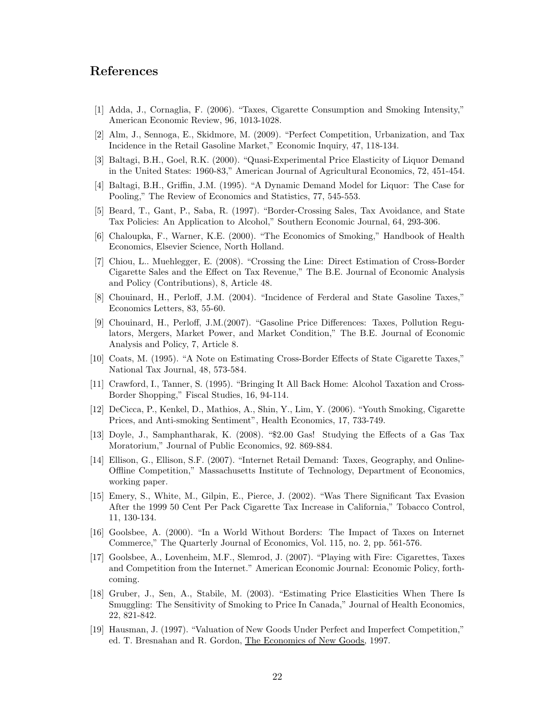## References

- [1] Adda, J., Cornaglia, F. (2006). "Taxes, Cigarette Consumption and Smoking Intensity," American Economic Review, 96, 1013-1028.
- [2] Alm, J., Sennoga, E., Skidmore, M. (2009). "Perfect Competition, Urbanization, and Tax Incidence in the Retail Gasoline Market," Economic Inquiry, 47, 118-134.
- [3] Baltagi, B.H., Goel, R.K. (2000). "Quasi-Experimental Price Elasticity of Liquor Demand in the United States: 1960-83," American Journal of Agricultural Economics, 72, 451-454.
- [4] Baltagi, B.H., Griffin, J.M. (1995). "A Dynamic Demand Model for Liquor: The Case for Pooling," The Review of Economics and Statistics, 77, 545-553.
- [5] Beard, T., Gant, P., Saba, R. (1997). "Border-Crossing Sales, Tax Avoidance, and State Tax Policies: An Application to Alcohol," Southern Economic Journal, 64, 293-306.
- [6] Chaloupka, F., Warner, K.E. (2000). "The Economics of Smoking," Handbook of Health Economics, Elsevier Science, North Holland.
- [7] Chiou, L.. Muehlegger, E. (2008). "Crossing the Line: Direct Estimation of Cross-Border Cigarette Sales and the Effect on Tax Revenue," The B.E. Journal of Economic Analysis and Policy (Contributions), 8, Article 48.
- [8] Chouinard, H., Perloff, J.M. (2004). "Incidence of Ferderal and State Gasoline Taxes," Economics Letters, 83, 55-60.
- [9] Chouinard, H., Perloff, J.M.(2007). "Gasoline Price Differences: Taxes, Pollution Regulators, Mergers, Market Power, and Market Condition," The B.E. Journal of Economic Analysis and Policy, 7, Article 8.
- [10] Coats, M. (1995). "A Note on Estimating Cross-Border Effects of State Cigarette Taxes," National Tax Journal, 48, 573-584.
- [11] Crawford, I., Tanner, S. (1995). "Bringing It All Back Home: Alcohol Taxation and Cross-Border Shopping," Fiscal Studies, 16, 94-114.
- [12] DeCicca, P., Kenkel, D., Mathios, A., Shin, Y., Lim, Y. (2006). "Youth Smoking, Cigarette Prices, and Anti-smoking Sentiment", Health Economics, 17, 733-749.
- [13] Doyle, J., Samphantharak, K. (2008). "\$2.00 Gas! Studying the Effects of a Gas Tax Moratorium," Journal of Public Economics, 92. 869-884.
- [14] Ellison, G., Ellison, S.F. (2007). "Internet Retail Demand: Taxes, Geography, and Online-Offline Competition," Massachusetts Institute of Technology, Department of Economics, working paper.
- [15] Emery, S., White, M., Gilpin, E., Pierce, J. (2002). "Was There Significant Tax Evasion After the 1999 50 Cent Per Pack Cigarette Tax Increase in California," Tobacco Control, 11, 130-134.
- [16] Goolsbee, A. (2000). "In a World Without Borders: The Impact of Taxes on Internet Commerce," The Quarterly Journal of Economics, Vol. 115, no. 2, pp. 561-576.
- [17] Goolsbee, A., Lovenheim, M.F., Slemrod, J. (2007). "Playing with Fire: Cigarettes, Taxes and Competition from the Internet." American Economic Journal: Economic Policy, forthcoming.
- [18] Gruber, J., Sen, A., Stabile, M. (2003). "Estimating Price Elasticities When There Is Smuggling: The Sensitivity of Smoking to Price In Canada," Journal of Health Economics, 22, 821-842.
- [19] Hausman, J. (1997). "Valuation of New Goods Under Perfect and Imperfect Competition," ed. T. Bresnahan and R. Gordon, The Economics of New Goods, 1997.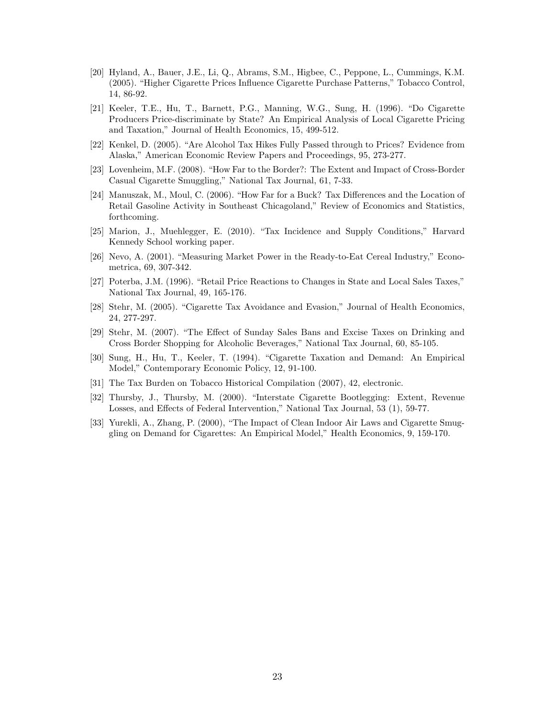- [20] Hyland, A., Bauer, J.E., Li, Q., Abrams, S.M., Higbee, C., Peppone, L., Cummings, K.M. (2005). "Higher Cigarette Prices Influence Cigarette Purchase Patterns," Tobacco Control, 14, 86-92.
- [21] Keeler, T.E., Hu, T., Barnett, P.G., Manning, W.G., Sung, H. (1996). "Do Cigarette Producers Price-discriminate by State? An Empirical Analysis of Local Cigarette Pricing and Taxation," Journal of Health Economics, 15, 499-512.
- [22] Kenkel, D. (2005). "Are Alcohol Tax Hikes Fully Passed through to Prices? Evidence from Alaska," American Economic Review Papers and Proceedings, 95, 273-277.
- [23] Lovenheim, M.F. (2008). "How Far to the Border?: The Extent and Impact of Cross-Border Casual Cigarette Smuggling," National Tax Journal, 61, 7-33.
- [24] Manuszak, M., Moul, C. (2006). "How Far for a Buck? Tax Differences and the Location of Retail Gasoline Activity in Southeast Chicagoland," Review of Economics and Statistics, forthcoming.
- [25] Marion, J., Muehlegger, E. (2010). "Tax Incidence and Supply Conditions," Harvard Kennedy School working paper.
- [26] Nevo, A. (2001). "Measuring Market Power in the Ready-to-Eat Cereal Industry," Econometrica, 69, 307-342.
- [27] Poterba, J.M. (1996). "Retail Price Reactions to Changes in State and Local Sales Taxes," National Tax Journal, 49, 165-176.
- [28] Stehr, M. (2005). "Cigarette Tax Avoidance and Evasion," Journal of Health Economics, 24, 277-297.
- [29] Stehr, M. (2007). "The Effect of Sunday Sales Bans and Excise Taxes on Drinking and Cross Border Shopping for Alcoholic Beverages," National Tax Journal, 60, 85-105.
- [30] Sung, H., Hu, T., Keeler, T. (1994). "Cigarette Taxation and Demand: An Empirical Model," Contemporary Economic Policy, 12, 91-100.
- [31] The Tax Burden on Tobacco Historical Compilation (2007), 42, electronic.
- [32] Thursby, J., Thursby, M. (2000). "Interstate Cigarette Bootlegging: Extent, Revenue Losses, and Effects of Federal Intervention," National Tax Journal, 53 (1), 59-77.
- [33] Yurekli, A., Zhang, P. (2000), "The Impact of Clean Indoor Air Laws and Cigarette Smuggling on Demand for Cigarettes: An Empirical Model," Health Economics, 9, 159-170.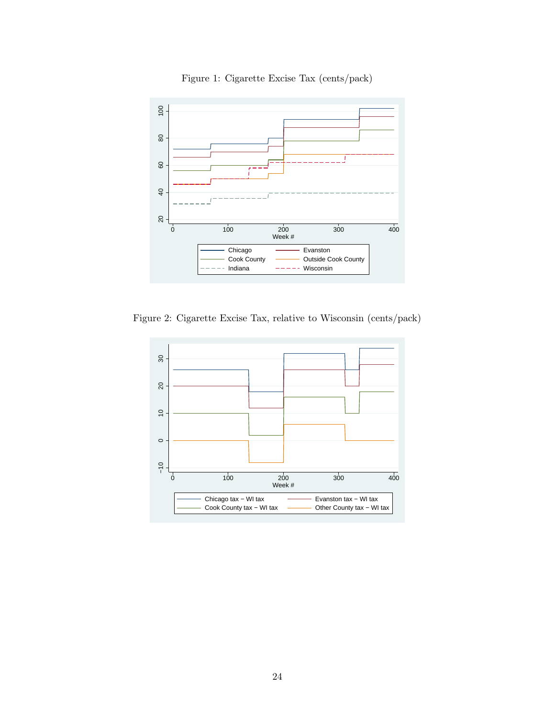

Figure 1: Cigarette Excise Tax (cents/pack)

Figure 2: Cigarette Excise Tax, relative to Wisconsin (cents/pack)

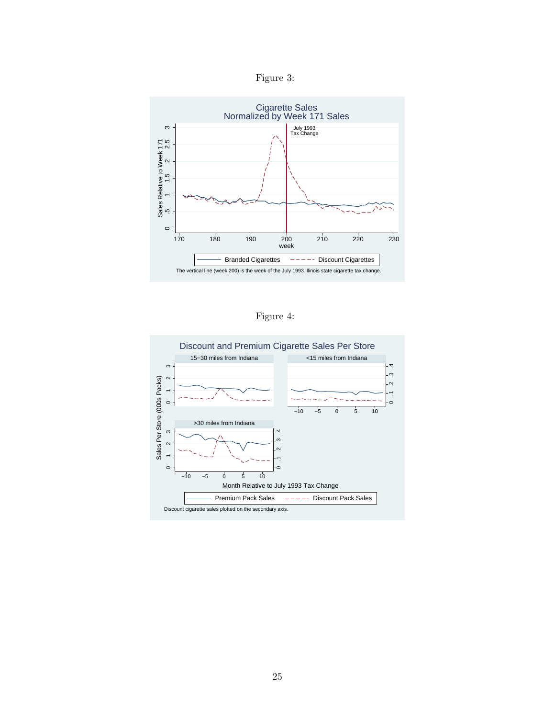Figure 3:



Figure 4:

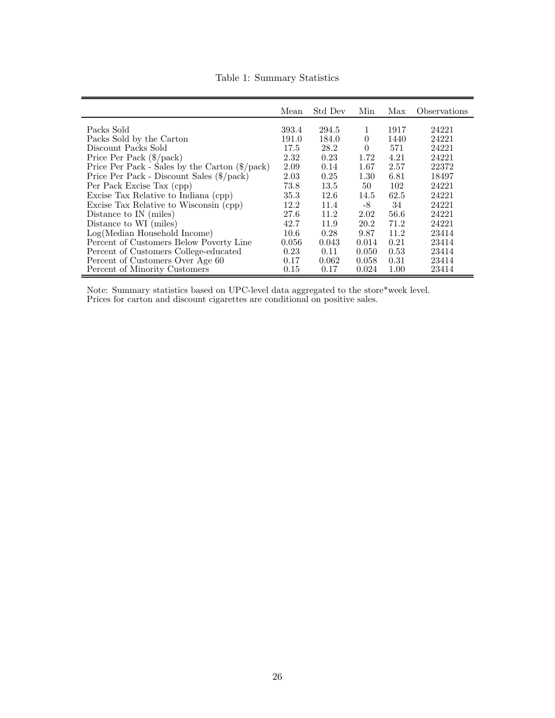|                                                                | Mean  | Std Dev | Min      | Max  | Observations |
|----------------------------------------------------------------|-------|---------|----------|------|--------------|
| Packs Sold                                                     | 393.4 | 294.5   | 1        | 1917 | 24221        |
| Packs Sold by the Carton                                       | 191.0 | 184.0   | $\Omega$ | 1440 | 24221        |
| Discount Packs Sold                                            | 17.5  | 28.2    | $\Omega$ | 571  | 24221        |
| Price Per Pack $(\frac{6}{\text{pack}})$                       | 2.32  | 0.23    | 1.72     | 4.21 | 24221        |
| Price Per Pack - Sales by the Carton $(\frac{6}{\text{pack}})$ | 2.09  | 0.14    | 1.67     | 2.57 | 22372        |
| Price Per Pack - Discount Sales (\$/pack)                      | 2.03  | 0.25    | 1.30     | 6.81 | 18497        |
| Per Pack Excise Tax (cpp)                                      | 73.8  | 13.5    | 50       | 102  | 24221        |
|                                                                | 35.3  | 12.6    | 14.5     | 62.5 | 24221        |
| Excise Tax Relative to Indiana (cpp)                           |       |         |          |      |              |
| Excise Tax Relative to Wisconsin (cpp)                         | 12.2  | 11.4    | -8       | 34   | 24221        |
| Distance to IN (miles)                                         | 27.6  | 11.2    | 2.02     | 56.6 | 24221        |
| Distance to WI (miles)                                         | 42.7  | 11.9    | 20.2     | 71.2 | 24221        |
| Log(Median Household Income)                                   | 10.6  | 0.28    | 9.87     | 11.2 | 23414        |
| Percent of Customers Below Poverty Line                        | 0.056 | 0.043   | 0.014    | 0.21 | 23414        |
| Percent of Customers College-educated                          | 0.23  | 0.11    | 0.050    | 0.53 | 23414        |
| Percent of Customers Over Age 60                               | 0.17  | 0.062   | 0.058    | 0.31 | 23414        |
| Percent of Minority Customers                                  | 0.15  | 0.17    | 0.024    | 1.00 | 23414        |

Table 1: Summary Statistics

Note: Summary statistics based on UPC-level data aggregated to the store\*week level. Prices for carton and discount cigarettes are conditional on positive sales.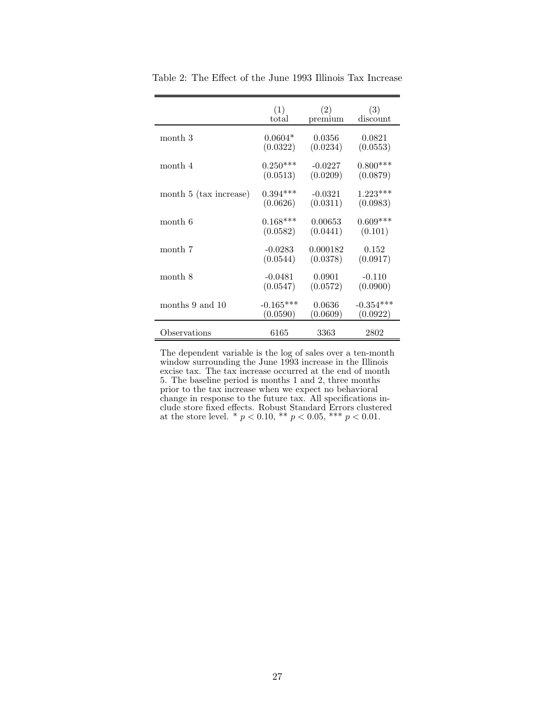|                        | (1)         | (2)       | (3)         |
|------------------------|-------------|-----------|-------------|
|                        | total       | premium   | discount    |
| month 3                | $0.0604*$   | 0.0356    | 0.0821      |
|                        | (0.0322)    | (0.0234)  | (0.0553)    |
| month 4                | $0.250***$  | $-0.0227$ | $0.800***$  |
|                        | (0.0513)    | (0.0209)  | (0.0879)    |
| month 5 (tax increase) | $0.394***$  | $-0.0321$ | $1.223***$  |
|                        | (0.0626)    | (0.0311)  | (0.0983)    |
| month 6                | $0.168***$  | 0.00653   | $0.609***$  |
|                        | (0.0582)    | (0.0441)  | (0.101)     |
| month 7                | $-0.0283$   | 0.000182  | 0.152       |
|                        | (0.0544)    | (0.0378)  | (0.0917)    |
| month 8                | $-0.0481$   | 0.0901    | $-0.110$    |
|                        | (0.0547)    | (0.0572)  | (0.0900)    |
| months 9 and 10        | $-0.165***$ | 0.0636    | $-0.354***$ |
|                        | (0.0590)    | (0.0609)  | (0.0922)    |
| Observations           | 6165        | 3363      | 2802        |

Table 2: The Effect of the June 1993 Illinois Tax Increase

The dependent variable is the log of sales over a ten-month window surrounding the June 1993 increase in the Illinois excise tax. The tax increase occurred at the end of month 5. The baseline period is months 1 and 2, three months prior to the tax increase when we expect no behavioral change in response to the future tax. All specifications include store fixed effects. Robust Standard Errors clustered at the store level. \*  $p < 0.10$ , \*\*  $p < 0.05$ , \*\*\*  $p < 0.01$ .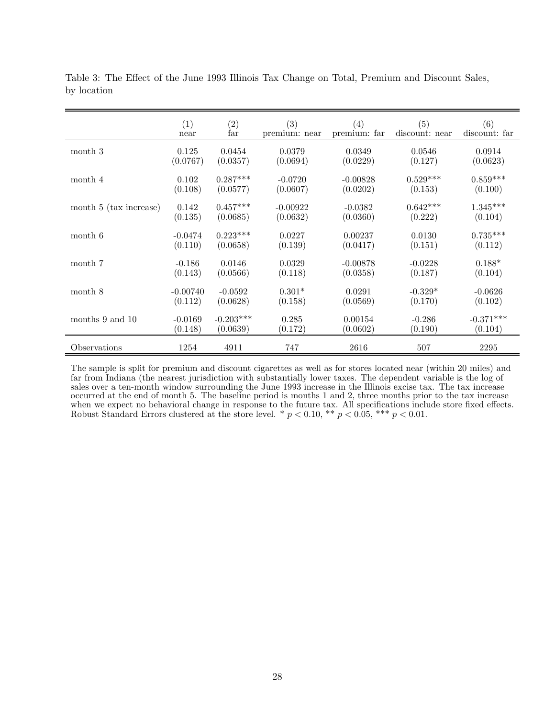|                        | (1)<br>near | $\begin{array}{c} (2) \\ \text{far} \end{array}$ | (3)<br>premium: near | $\left( 4\right)$<br>premium: far | (5)<br>discount: near | (6)<br>discount: far |
|------------------------|-------------|--------------------------------------------------|----------------------|-----------------------------------|-----------------------|----------------------|
| month 3                | 0.125       | 0.0454                                           | 0.0379               | 0.0349                            | 0.0546                | 0.0914               |
|                        | (0.0767)    | (0.0357)                                         | (0.0694)             | (0.0229)                          | (0.127)               | (0.0623)             |
| month 4                | 0.102       | $0.287***$                                       | $-0.0720$            | $-0.00828$                        | $0.529***$            | $0.859***$           |
|                        | (0.108)     | (0.0577)                                         | (0.0607)             | (0.0202)                          | (0.153)               | (0.100)              |
| month 5 (tax increase) | 0.142       | $0.457***$                                       | $-0.00922$           | $-0.0382$                         | $0.642***$            | $1.345***$           |
|                        | (0.135)     | (0.0685)                                         | (0.0632)             | (0.0360)                          | (0.222)               | (0.104)              |
| month 6                | $-0.0474$   | $0.223***$                                       | 0.0227               | 0.00237                           | 0.0130                | $0.735***$           |
|                        | (0.110)     | (0.0658)                                         | (0.139)              | (0.0417)                          | (0.151)               | (0.112)              |
| month 7                | $-0.186$    | 0.0146                                           | 0.0329               | $-0.00878$                        | $-0.0228$             | $0.188*$             |
|                        | (0.143)     | (0.0566)                                         | (0.118)              | (0.0358)                          | (0.187)               | (0.104)              |
| month 8                | $-0.00740$  | $-0.0592$                                        | $0.301*$             | 0.0291                            | $-0.329*$             | $-0.0626$            |
|                        | (0.112)     | (0.0628)                                         | (0.158)              | (0.0569)                          | (0.170)               | (0.102)              |
| months 9 and 10        | $-0.0169$   | $-0.203***$                                      | 0.285                | 0.00154                           | $-0.286$              | $-0.371***$          |
|                        | (0.148)     | (0.0639)                                         | (0.172)              | (0.0602)                          | (0.190)               | (0.104)              |
| Observations           | 1254        | 4911                                             | 747                  | 2616                              | 507                   | 2295                 |

Table 3: The Effect of the June 1993 Illinois Tax Change on Total, Premium and Discount Sales, by location

The sample is split for premium and discount cigarettes as well as for stores located near (within 20 miles) and far from Indiana (the nearest jurisdiction with substantially lower taxes. The dependent variable is the log of sales over a ten-month window surrounding the June 1993 increase in the Illinois excise tax. The tax increase occurred at the end of month 5. The baseline period is months 1 and 2, three months prior to the tax increase when we expect no behavioral change in response to the future tax. All specifications include store fixed effects. Robust Standard Errors clustered at the store level. \*  $p < 0.10$ , \*\*  $p < 0.05$ , \*\*\*  $p < 0.01$ .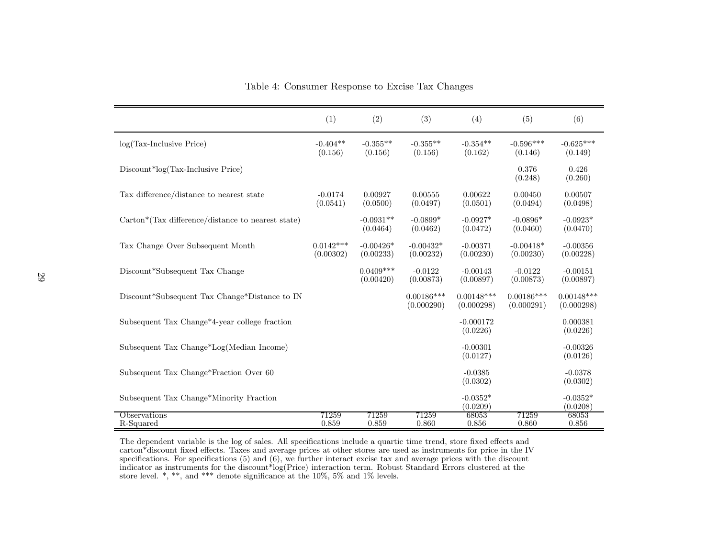|                                                   | (1)                      | (2)                      | (3)                        | (4)                        | (5)                        | (6)                        |
|---------------------------------------------------|--------------------------|--------------------------|----------------------------|----------------------------|----------------------------|----------------------------|
| $log(Tax-Inclusive Price)$                        | $-0.404**$<br>(0.156)    | $-0.355**$<br>(0.156)    | $-0.355**$<br>(0.156)      | $-0.354**$<br>(0.162)      | $-0.596***$<br>(0.146)     | $-0.625***$<br>(0.149)     |
| Discount*log(Tax-Inclusive Price)                 |                          |                          |                            |                            | 0.376<br>(0.248)           | 0.426<br>(0.260)           |
| Tax difference/distance to nearest state          | $-0.0174$<br>(0.0541)    | 0.00927<br>(0.0500)      | 0.00555<br>(0.0497)        | 0.00622<br>(0.0501)        | 0.00450<br>(0.0494)        | 0.00507<br>(0.0498)        |
| Carton*(Tax difference/distance to nearest state) |                          | $-0.0931**$<br>(0.0464)  | $-0.0899*$<br>(0.0462)     | $-0.0927*$<br>(0.0472)     | $-0.0896*$<br>(0.0460)     | $-0.0923*$<br>(0.0470)     |
| Tax Change Over Subsequent Month                  | $0.0142***$<br>(0.00302) | $-0.00426*$<br>(0.00233) | $-0.00432*$<br>(0.00232)   | $-0.00371$<br>(0.00230)    | $-0.00418*$<br>(0.00230)   | $-0.00356$<br>(0.00228)    |
| Discount*Subsequent Tax Change                    |                          | $0.0409***$<br>(0.00420) | $-0.0122$<br>(0.00873)     | $-0.00143$<br>(0.00897)    | $-0.0122$<br>(0.00873)     | $-0.00151$<br>(0.00897)    |
| Discount*Subsequent Tax Change*Distance to IN     |                          |                          | $0.00186***$<br>(0.000290) | $0.00148***$<br>(0.000298) | $0.00186***$<br>(0.000291) | $0.00148***$<br>(0.000298) |
| Subsequent Tax Change*4-year college fraction     |                          |                          |                            | $-0.000172$<br>(0.0226)    |                            | 0.000381<br>(0.0226)       |
| Subsequent Tax Change*Log(Median Income)          |                          |                          |                            | $-0.00301$<br>(0.0127)     |                            | $-0.00326$<br>(0.0126)     |
| Subsequent Tax Change*Fraction Over 60            |                          |                          |                            | $-0.0385$<br>(0.0302)      |                            | $-0.0378$<br>(0.0302)      |
| Subsequent Tax Change*Minority Fraction           |                          |                          |                            | $-0.0352*$<br>(0.0209)     |                            | $-0.0352*$<br>(0.0208)     |
| Observations<br>R-Squared                         | 71259<br>0.859           | 71259<br>0.859           | 71259<br>0.860             | 68053<br>0.856             | 71259<br>0.860             | 68053<br>0.856             |

Table 4: Consumer Response to Excise Tax Changes

The dependent variable is the log of sales. All specifications include <sup>a</sup> quartic time trend, store fixed effects and carton\*discount fixed effects. Taxes and average prices at other stores are used as instruments for price in the IV specifications. For specifications (5) and (6), we further interact excise tax and average prices with the discountindicator as instruments for the discount\*log(Price) interaction term. Robust Standard Errors clustered at the store level. \*, \*\*, and \*\*\* denote significance at the 10%, 5% and 1% levels.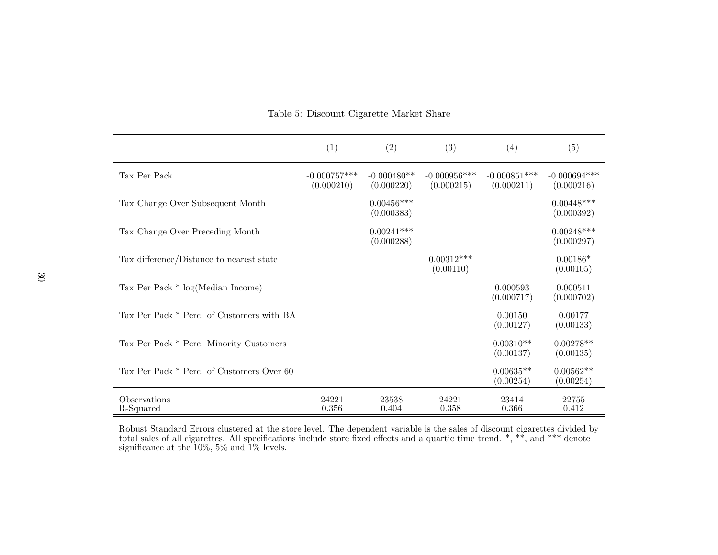|                                           | (1)                          | (2)                         | (3)                           | (4)                          | (5)                          |
|-------------------------------------------|------------------------------|-----------------------------|-------------------------------|------------------------------|------------------------------|
| Tax Per Pack                              | $-0.000757***$<br>(0.000210) | $-0.000480**$<br>(0.000220) | $-0.000956$ ***<br>(0.000215) | $-0.000851***$<br>(0.000211) | $-0.000694***$<br>(0.000216) |
| Tax Change Over Subsequent Month          |                              | $0.00456***$<br>(0.000383)  |                               |                              | $0.00448***$<br>(0.000392)   |
| Tax Change Over Preceding Month           |                              | $0.00241***$<br>(0.000288)  |                               |                              | $0.00248***$<br>(0.000297)   |
| Tax difference/Distance to nearest state  |                              |                             | $0.00312***$<br>(0.00110)     |                              | $0.00186*$<br>(0.00105)      |
| Tax Per Pack $*$ log(Median Income)       |                              |                             |                               | 0.000593<br>(0.000717)       | 0.000511<br>(0.000702)       |
| Tax Per Pack * Perc. of Customers with BA |                              |                             |                               | 0.00150<br>(0.00127)         | 0.00177<br>(0.00133)         |
| Tax Per Pack * Perc. Minority Customers   |                              |                             |                               | $0.00310**$<br>(0.00137)     | $0.00278**$<br>(0.00135)     |
| Tax Per Pack * Perc. of Customers Over 60 |                              |                             |                               | $0.00635**$<br>(0.00254)     | $0.00562**$<br>(0.00254)     |
| Observations<br>R-Squared                 | 24221<br>0.356               | 23538<br>0.404              | 24221<br>0.358                | 23414<br>0.366               | 22755<br>0.412               |

Table 5: Discount Cigarette Market Share

Robust Standard Errors clustered at the store level. The dependent variable is the sales of discount cigarettes divided by total sales of all cigarettes. All specifications include store fixed effects and <sup>a</sup> quartic time trend. \*, \*\*, and \*\*\* denote significance at the 10%, 5% and 1% levels.